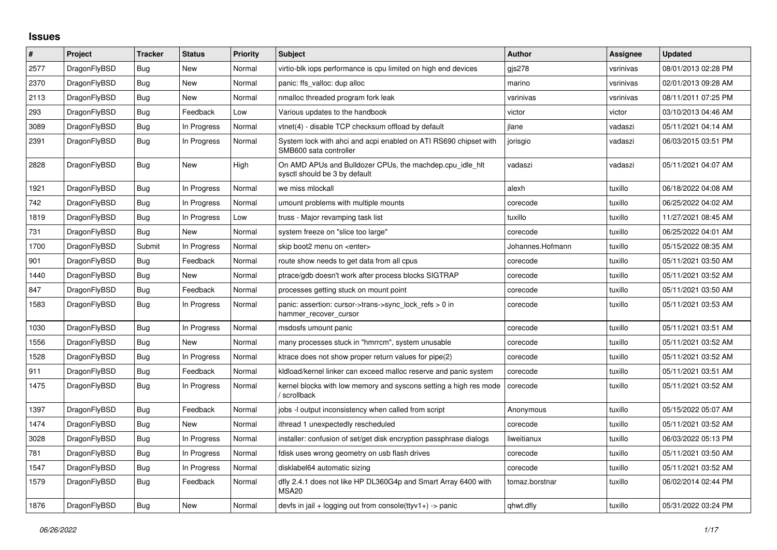## **Issues**

| $\#$ | <b>Project</b> | <b>Tracker</b> | <b>Status</b> | Priority | <b>Subject</b>                                                                             | <b>Author</b>    | Assignee  | <b>Updated</b>      |
|------|----------------|----------------|---------------|----------|--------------------------------------------------------------------------------------------|------------------|-----------|---------------------|
| 2577 | DragonFlyBSD   | Bug            | <b>New</b>    | Normal   | virtio-blk iops performance is cpu limited on high end devices                             | gis278           | vsrinivas | 08/01/2013 02:28 PM |
| 2370 | DragonFlyBSD   | Bug            | <b>New</b>    | Normal   | panic: ffs_valloc: dup alloc                                                               | marino           | vsrinivas | 02/01/2013 09:28 AM |
| 2113 | DragonFlyBSD   | Bug            | <b>New</b>    | Normal   | nmalloc threaded program fork leak                                                         | vsrinivas        | vsrinivas | 08/11/2011 07:25 PM |
| 293  | DragonFlyBSD   | <b>Bug</b>     | Feedback      | Low      | Various updates to the handbook                                                            | victor           | victor    | 03/10/2013 04:46 AM |
| 3089 | DragonFlyBSD   | <b>Bug</b>     | In Progress   | Normal   | vtnet(4) - disable TCP checksum offload by default                                         | ilane            | vadaszi   | 05/11/2021 04:14 AM |
| 2391 | DragonFlyBSD   | Bug            | In Progress   | Normal   | System lock with ahci and acpi enabled on ATI RS690 chipset with<br>SMB600 sata controller | jorisgio         | vadaszi   | 06/03/2015 03:51 PM |
| 2828 | DragonFlyBSD   | Bug            | <b>New</b>    | High     | On AMD APUs and Bulldozer CPUs, the machdep.cpu idle hit<br>sysctl should be 3 by default  | vadaszi          | vadaszi   | 05/11/2021 04:07 AM |
| 1921 | DragonFlyBSD   | <b>Bug</b>     | In Progress   | Normal   | we miss mlockall                                                                           | alexh            | tuxillo   | 06/18/2022 04:08 AM |
| 742  | DragonFlyBSD   | Bug            | In Progress   | Normal   | umount problems with multiple mounts                                                       | corecode         | tuxillo   | 06/25/2022 04:02 AM |
| 1819 | DragonFlyBSD   | Bug            | In Progress   | Low      | truss - Major revamping task list                                                          | tuxillo          | tuxillo   | 11/27/2021 08:45 AM |
| 731  | DragonFlyBSD   | <b>Bug</b>     | <b>New</b>    | Normal   | system freeze on "slice too large"                                                         | corecode         | tuxillo   | 06/25/2022 04:01 AM |
| 1700 | DragonFlyBSD   | Submit         | In Progress   | Normal   | skip boot2 menu on <enter></enter>                                                         | Johannes.Hofmann | tuxillo   | 05/15/2022 08:35 AM |
| 901  | DragonFlyBSD   | Bug            | Feedback      | Normal   | route show needs to get data from all cpus                                                 | corecode         | tuxillo   | 05/11/2021 03:50 AM |
| 1440 | DragonFlyBSD   | Bug            | <b>New</b>    | Normal   | ptrace/gdb doesn't work after process blocks SIGTRAP                                       | corecode         | tuxillo   | 05/11/2021 03:52 AM |
| 847  | DragonFlyBSD   | Bug            | Feedback      | Normal   | processes getting stuck on mount point                                                     | corecode         | tuxillo   | 05/11/2021 03:50 AM |
| 1583 | DragonFlyBSD   | <b>Bug</b>     | In Progress   | Normal   | panic: assertion: cursor->trans->sync lock refs $> 0$ in<br>hammer_recover_cursor          | corecode         | tuxillo   | 05/11/2021 03:53 AM |
| 1030 | DragonFlyBSD   | Bug            | In Progress   | Normal   | msdosfs umount panic                                                                       | corecode         | tuxillo   | 05/11/2021 03:51 AM |
| 1556 | DragonFlyBSD   | Bug            | <b>New</b>    | Normal   | many processes stuck in "hmrrcm", system unusable                                          | corecode         | tuxillo   | 05/11/2021 03:52 AM |
| 1528 | DragonFlyBSD   | Bug            | In Progress   | Normal   | ktrace does not show proper return values for pipe(2)                                      | corecode         | tuxillo   | 05/11/2021 03:52 AM |
| 911  | DragonFlyBSD   | Bug            | Feedback      | Normal   | kidload/kernel linker can exceed malloc reserve and panic system                           | corecode         | tuxillo   | 05/11/2021 03:51 AM |
| 1475 | DragonFlyBSD   | <b>Bug</b>     | In Progress   | Normal   | kernel blocks with low memory and syscons setting a high res mode<br>' scrollback          | corecode         | tuxillo   | 05/11/2021 03:52 AM |
| 1397 | DragonFlyBSD   | <b>Bug</b>     | Feedback      | Normal   | jobs -I output inconsistency when called from script                                       | Anonymous        | tuxillo   | 05/15/2022 05:07 AM |
| 1474 | DragonFlyBSD   | Bug            | New           | Normal   | ithread 1 unexpectedly rescheduled                                                         | corecode         | tuxillo   | 05/11/2021 03:52 AM |
| 3028 | DragonFlyBSD   | Bug            | In Progress   | Normal   | installer: confusion of set/get disk encryption passphrase dialogs                         | liweitianux      | tuxillo   | 06/03/2022 05:13 PM |
| 781  | DragonFlyBSD   | Bug            | In Progress   | Normal   | fdisk uses wrong geometry on usb flash drives                                              | corecode         | tuxillo   | 05/11/2021 03:50 AM |
| 1547 | DragonFlyBSD   | Bug            | In Progress   | Normal   | disklabel64 automatic sizing                                                               | corecode         | tuxillo   | 05/11/2021 03:52 AM |
| 1579 | DragonFlyBSD   | <b>Bug</b>     | Feedback      | Normal   | dfly 2.4.1 does not like HP DL360G4p and Smart Array 6400 with<br>MSA <sub>20</sub>        | tomaz.borstnar   | tuxillo   | 06/02/2014 02:44 PM |
| 1876 | DragonFlyBSD   | Bug            | <b>New</b>    | Normal   | devfs in jail + logging out from console(ttyv1+) -> panic                                  | qhwt.dfly        | tuxillo   | 05/31/2022 03:24 PM |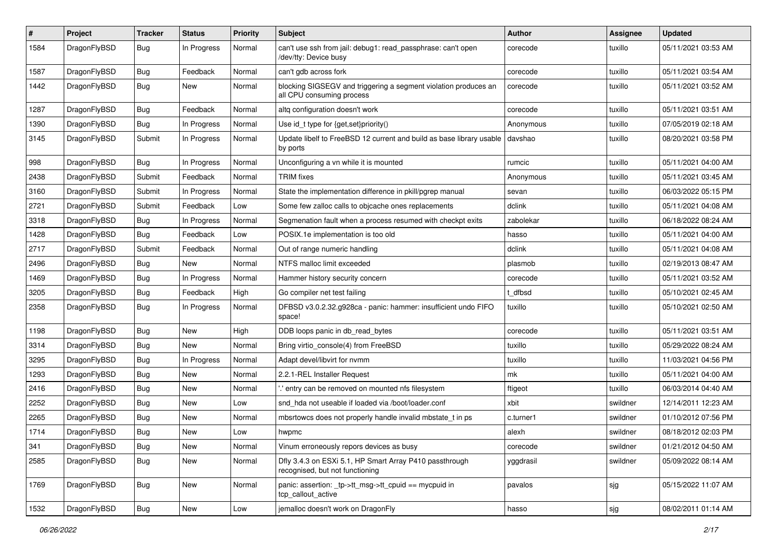| #    | Project      | <b>Tracker</b> | <b>Status</b> | <b>Priority</b> | Subject                                                                                      | <b>Author</b> | Assignee | <b>Updated</b>      |
|------|--------------|----------------|---------------|-----------------|----------------------------------------------------------------------------------------------|---------------|----------|---------------------|
| 1584 | DragonFlyBSD | <b>Bug</b>     | In Progress   | Normal          | can't use ssh from jail: debug1: read_passphrase: can't open<br>/dev/tty: Device busy        | corecode      | tuxillo  | 05/11/2021 03:53 AM |
| 1587 | DragonFlyBSD | <b>Bug</b>     | Feedback      | Normal          | can't gdb across fork                                                                        | corecode      | tuxillo  | 05/11/2021 03:54 AM |
| 1442 | DragonFlyBSD | Bug            | New           | Normal          | blocking SIGSEGV and triggering a segment violation produces an<br>all CPU consuming process | corecode      | tuxillo  | 05/11/2021 03:52 AM |
| 1287 | DragonFlyBSD | <b>Bug</b>     | Feedback      | Normal          | altg configuration doesn't work                                                              | corecode      | tuxillo  | 05/11/2021 03:51 AM |
| 1390 | DragonFlyBSD | <b>Bug</b>     | In Progress   | Normal          | Use id_t type for {get,set}priority()                                                        | Anonymous     | tuxillo  | 07/05/2019 02:18 AM |
| 3145 | DragonFlyBSD | Submit         | In Progress   | Normal          | Update libelf to FreeBSD 12 current and build as base library usable<br>by ports             | davshao       | tuxillo  | 08/20/2021 03:58 PM |
| 998  | DragonFlyBSD | <b>Bug</b>     | In Progress   | Normal          | Unconfiguring a vn while it is mounted                                                       | rumcic        | tuxillo  | 05/11/2021 04:00 AM |
| 2438 | DragonFlyBSD | Submit         | Feedback      | Normal          | TRIM fixes                                                                                   | Anonymous     | tuxillo  | 05/11/2021 03:45 AM |
| 3160 | DragonFlyBSD | Submit         | In Progress   | Normal          | State the implementation difference in pkill/pgrep manual                                    | sevan         | tuxillo  | 06/03/2022 05:15 PM |
| 2721 | DragonFlyBSD | Submit         | Feedback      | Low             | Some few zalloc calls to objcache ones replacements                                          | dclink        | tuxillo  | 05/11/2021 04:08 AM |
| 3318 | DragonFlyBSD | <b>Bug</b>     | In Progress   | Normal          | Segmenation fault when a process resumed with checkpt exits                                  | zabolekar     | tuxillo  | 06/18/2022 08:24 AM |
| 1428 | DragonFlyBSD | <b>Bug</b>     | Feedback      | Low             | POSIX.1e implementation is too old                                                           | hasso         | tuxillo  | 05/11/2021 04:00 AM |
| 2717 | DragonFlyBSD | Submit         | Feedback      | Normal          | Out of range numeric handling                                                                | dclink        | tuxillo  | 05/11/2021 04:08 AM |
| 2496 | DragonFlyBSD | <b>Bug</b>     | New           | Normal          | NTFS malloc limit exceeded                                                                   | plasmob       | tuxillo  | 02/19/2013 08:47 AM |
| 1469 | DragonFlyBSD | <b>Bug</b>     | In Progress   | Normal          | Hammer history security concern                                                              | corecode      | tuxillo  | 05/11/2021 03:52 AM |
| 3205 | DragonFlyBSD | <b>Bug</b>     | Feedback      | High            | Go compiler net test failing                                                                 | t dfbsd       | tuxillo  | 05/10/2021 02:45 AM |
| 2358 | DragonFlyBSD | <b>Bug</b>     | In Progress   | Normal          | DFBSD v3.0.2.32.g928ca - panic: hammer: insufficient undo FIFO<br>space!                     | tuxillo       | tuxillo  | 05/10/2021 02:50 AM |
| 1198 | DragonFlyBSD | <b>Bug</b>     | <b>New</b>    | High            | DDB loops panic in db_read_bytes                                                             | corecode      | tuxillo  | 05/11/2021 03:51 AM |
| 3314 | DragonFlyBSD | <b>Bug</b>     | <b>New</b>    | Normal          | Bring virtio_console(4) from FreeBSD                                                         | tuxillo       | tuxillo  | 05/29/2022 08:24 AM |
| 3295 | DragonFlyBSD | <b>Bug</b>     | In Progress   | Normal          | Adapt devel/libvirt for nvmm                                                                 | tuxillo       | tuxillo  | 11/03/2021 04:56 PM |
| 1293 | DragonFlyBSD | <b>Bug</b>     | New           | Normal          | 2.2.1-REL Installer Request                                                                  | mk            | tuxillo  | 05/11/2021 04:00 AM |
| 2416 | DragonFlyBSD | <b>Bug</b>     | <b>New</b>    | Normal          | 'entry can be removed on mounted nfs filesystem                                              | ftigeot       | tuxillo  | 06/03/2014 04:40 AM |
| 2252 | DragonFlyBSD | <b>Bug</b>     | New           | Low             | snd_hda not useable if loaded via /boot/loader.conf                                          | xbit          | swildner | 12/14/2011 12:23 AM |
| 2265 | DragonFlyBSD | <b>Bug</b>     | <b>New</b>    | Normal          | mbsrtowcs does not properly handle invalid mbstate_t in ps                                   | c.turner1     | swildner | 01/10/2012 07:56 PM |
| 1714 | DragonFlyBSD | <b>Bug</b>     | New           | Low             | hwpmc                                                                                        | alexh         | swildner | 08/18/2012 02:03 PM |
| 341  | DragonFlyBSD | <b>Bug</b>     | New           | Normal          | Vinum erroneously repors devices as busy                                                     | corecode      | swildner | 01/21/2012 04:50 AM |
| 2585 | DragonFlyBSD | <b>Bug</b>     | New           | Normal          | Dfly 3.4.3 on ESXi 5.1, HP Smart Array P410 passthrough<br>recognised, but not functioning   | yggdrasil     | swildner | 05/09/2022 08:14 AM |
| 1769 | DragonFlyBSD | Bug            | New           | Normal          | panic: assertion: _tp->tt_msg->tt_cpuid == mycpuid in<br>tcp_callout_active                  | pavalos       | sjg      | 05/15/2022 11:07 AM |
| 1532 | DragonFlyBSD | Bug            | New           | Low             | jemalloc doesn't work on DragonFly                                                           | hasso         | sjg      | 08/02/2011 01:14 AM |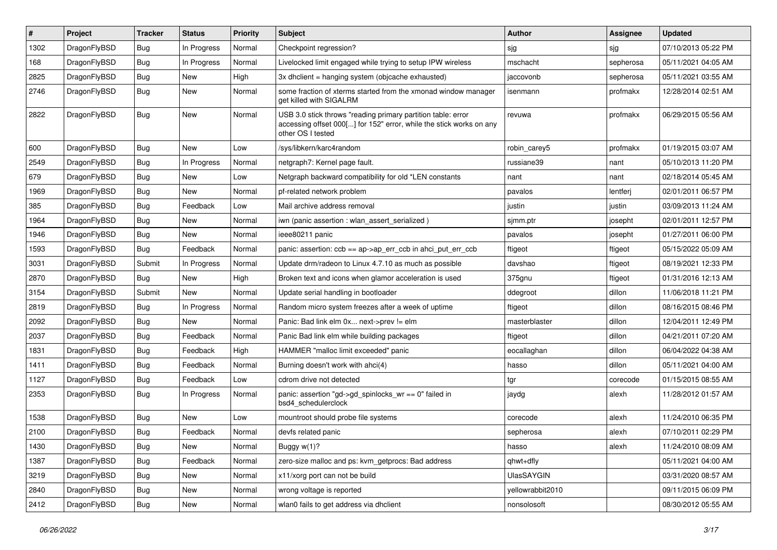| ∦    | Project      | <b>Tracker</b> | <b>Status</b> | <b>Priority</b> | <b>Subject</b>                                                                                                                                           | <b>Author</b>     | Assignee  | <b>Updated</b>      |
|------|--------------|----------------|---------------|-----------------|----------------------------------------------------------------------------------------------------------------------------------------------------------|-------------------|-----------|---------------------|
| 1302 | DragonFlyBSD | <b>Bug</b>     | In Progress   | Normal          | Checkpoint regression?                                                                                                                                   | sjg               | sjg       | 07/10/2013 05:22 PM |
| 168  | DragonFlyBSD | <b>Bug</b>     | In Progress   | Normal          | Livelocked limit engaged while trying to setup IPW wireless                                                                                              | mschacht          | sepherosa | 05/11/2021 04:05 AM |
| 2825 | DragonFlyBSD | <b>Bug</b>     | <b>New</b>    | High            | 3x dhclient = hanging system (objcache exhausted)                                                                                                        | jaccovonb         | sepherosa | 05/11/2021 03:55 AM |
| 2746 | DragonFlyBSD | Bug            | <b>New</b>    | Normal          | some fraction of xterms started from the xmonad window manager<br>get killed with SIGALRM                                                                | isenmann          | profmakx  | 12/28/2014 02:51 AM |
| 2822 | DragonFlyBSD | <b>Bug</b>     | <b>New</b>    | Normal          | USB 3.0 stick throws "reading primary partition table: error<br>accessing offset 000[] for 152" error, while the stick works on any<br>other OS I tested | revuwa            | profmakx  | 06/29/2015 05:56 AM |
| 600  | DragonFlyBSD | <b>Bug</b>     | <b>New</b>    | Low             | /sys/libkern/karc4random                                                                                                                                 | robin carey5      | profmakx  | 01/19/2015 03:07 AM |
| 2549 | DragonFlyBSD | <b>Bug</b>     | In Progress   | Normal          | netgraph7: Kernel page fault.                                                                                                                            | russiane39        | nant      | 05/10/2013 11:20 PM |
| 679  | DragonFlyBSD | <b>Bug</b>     | <b>New</b>    | Low             | Netgraph backward compatibility for old *LEN constants                                                                                                   | nant              | nant      | 02/18/2014 05:45 AM |
| 1969 | DragonFlyBSD | <b>Bug</b>     | <b>New</b>    | Normal          | pf-related network problem                                                                                                                               | pavalos           | lentferj  | 02/01/2011 06:57 PM |
| 385  | DragonFlyBSD | <b>Bug</b>     | Feedback      | Low             | Mail archive address removal                                                                                                                             | justin            | justin    | 03/09/2013 11:24 AM |
| 1964 | DragonFlyBSD | <b>Bug</b>     | New           | Normal          | iwn (panic assertion : wlan assert serialized)                                                                                                           | sjmm.ptr          | josepht   | 02/01/2011 12:57 PM |
| 1946 | DragonFlyBSD | <b>Bug</b>     | <b>New</b>    | Normal          | ieee80211 panic                                                                                                                                          | pavalos           | josepht   | 01/27/2011 06:00 PM |
| 1593 | DragonFlyBSD | <b>Bug</b>     | Feedback      | Normal          | panic: assertion: $ccb == ap > ap$ err $ccb$ in ahci put err $ccb$                                                                                       | ftigeot           | ftigeot   | 05/15/2022 05:09 AM |
| 3031 | DragonFlyBSD | Submit         | In Progress   | Normal          | Update drm/radeon to Linux 4.7.10 as much as possible                                                                                                    | davshao           | ftigeot   | 08/19/2021 12:33 PM |
| 2870 | DragonFlyBSD | <b>Bug</b>     | <b>New</b>    | High            | Broken text and icons when glamor acceleration is used                                                                                                   | 375gnu            | ftigeot   | 01/31/2016 12:13 AM |
| 3154 | DragonFlyBSD | Submit         | <b>New</b>    | Normal          | Update serial handling in bootloader                                                                                                                     | ddegroot          | dillon    | 11/06/2018 11:21 PM |
| 2819 | DragonFlyBSD | Bug            | In Progress   | Normal          | Random micro system freezes after a week of uptime                                                                                                       | ftigeot           | dillon    | 08/16/2015 08:46 PM |
| 2092 | DragonFlyBSD | <b>Bug</b>     | <b>New</b>    | Normal          | Panic: Bad link elm 0x next->prev != elm                                                                                                                 | masterblaster     | dillon    | 12/04/2011 12:49 PM |
| 2037 | DragonFlyBSD | <b>Bug</b>     | Feedback      | Normal          | Panic Bad link elm while building packages                                                                                                               | ftigeot           | dillon    | 04/21/2011 07:20 AM |
| 1831 | DragonFlyBSD | <b>Bug</b>     | Feedback      | High            | HAMMER "malloc limit exceeded" panic                                                                                                                     | eocallaghan       | dillon    | 06/04/2022 04:38 AM |
| 1411 | DragonFlyBSD | <b>Bug</b>     | Feedback      | Normal          | Burning doesn't work with ahci(4)                                                                                                                        | hasso             | dillon    | 05/11/2021 04:00 AM |
| 1127 | DragonFlyBSD | <b>Bug</b>     | Feedback      | Low             | cdrom drive not detected                                                                                                                                 | tgr               | corecode  | 01/15/2015 08:55 AM |
| 2353 | DragonFlyBSD | <b>Bug</b>     | In Progress   | Normal          | panic: assertion "gd->gd spinlocks $wr == 0$ " failed in<br>bsd4 schedulerclock                                                                          | jaydg             | alexh     | 11/28/2012 01:57 AM |
| 1538 | DragonFlyBSD | Bug            | <b>New</b>    | Low             | mountroot should probe file systems                                                                                                                      | corecode          | alexh     | 11/24/2010 06:35 PM |
| 2100 | DragonFlyBSD | <b>Bug</b>     | Feedback      | Normal          | devfs related panic                                                                                                                                      | sepherosa         | alexh     | 07/10/2011 02:29 PM |
| 1430 | DragonFlyBSD | <b>Bug</b>     | New           | Normal          | Buggy w(1)?                                                                                                                                              | hasso             | alexh     | 11/24/2010 08:09 AM |
| 1387 | DragonFlyBSD | Bug            | Feedback      | Normal          | zero-size malloc and ps: kvm_getprocs: Bad address                                                                                                       | qhwt+dfly         |           | 05/11/2021 04:00 AM |
| 3219 | DragonFlyBSD | <b>Bug</b>     | New           | Normal          | x11/xorg port can not be build                                                                                                                           | <b>UlasSAYGIN</b> |           | 03/31/2020 08:57 AM |
| 2840 | DragonFlyBSD | <b>Bug</b>     | New           | Normal          | wrong voltage is reported                                                                                                                                | yellowrabbit2010  |           | 09/11/2015 06:09 PM |
| 2412 | DragonFlyBSD | <b>Bug</b>     | New           | Normal          | wlan0 fails to get address via dhclient                                                                                                                  | nonsolosoft       |           | 08/30/2012 05:55 AM |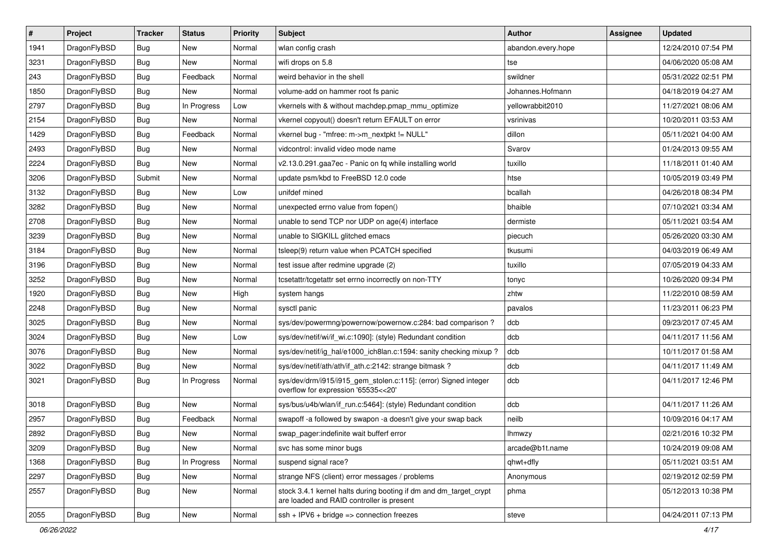| $\pmb{\#}$ | Project      | <b>Tracker</b> | <b>Status</b> | <b>Priority</b> | Subject                                                                                                        | <b>Author</b>      | Assignee | <b>Updated</b>      |
|------------|--------------|----------------|---------------|-----------------|----------------------------------------------------------------------------------------------------------------|--------------------|----------|---------------------|
| 1941       | DragonFlyBSD | Bug            | <b>New</b>    | Normal          | wlan config crash                                                                                              | abandon.every.hope |          | 12/24/2010 07:54 PM |
| 3231       | DragonFlyBSD | Bug            | <b>New</b>    | Normal          | wifi drops on 5.8                                                                                              | tse                |          | 04/06/2020 05:08 AM |
| 243        | DragonFlyBSD | Bug            | Feedback      | Normal          | weird behavior in the shell                                                                                    | swildner           |          | 05/31/2022 02:51 PM |
| 1850       | DragonFlyBSD | Bug            | New           | Normal          | volume-add on hammer root fs panic                                                                             | Johannes.Hofmann   |          | 04/18/2019 04:27 AM |
| 2797       | DragonFlyBSD | Bug            | In Progress   | Low             | vkernels with & without machdep.pmap_mmu_optimize                                                              | yellowrabbit2010   |          | 11/27/2021 08:06 AM |
| 2154       | DragonFlyBSD | <b>Bug</b>     | New           | Normal          | vkernel copyout() doesn't return EFAULT on error                                                               | vsrinivas          |          | 10/20/2011 03:53 AM |
| 1429       | DragonFlyBSD | Bug            | Feedback      | Normal          | vkernel bug - "mfree: m->m_nextpkt != NULL"                                                                    | dillon             |          | 05/11/2021 04:00 AM |
| 2493       | DragonFlyBSD | Bug            | New           | Normal          | vidcontrol: invalid video mode name                                                                            | Svarov             |          | 01/24/2013 09:55 AM |
| 2224       | DragonFlyBSD | Bug            | <b>New</b>    | Normal          | v2.13.0.291.gaa7ec - Panic on fq while installing world                                                        | tuxillo            |          | 11/18/2011 01:40 AM |
| 3206       | DragonFlyBSD | Submit         | <b>New</b>    | Normal          | update psm/kbd to FreeBSD 12.0 code                                                                            | htse               |          | 10/05/2019 03:49 PM |
| 3132       | DragonFlyBSD | Bug            | <b>New</b>    | Low             | unifdef mined                                                                                                  | bcallah            |          | 04/26/2018 08:34 PM |
| 3282       | DragonFlyBSD | Bug            | New           | Normal          | unexpected errno value from fopen()                                                                            | bhaible            |          | 07/10/2021 03:34 AM |
| 2708       | DragonFlyBSD | Bug            | New           | Normal          | unable to send TCP nor UDP on age(4) interface                                                                 | dermiste           |          | 05/11/2021 03:54 AM |
| 3239       | DragonFlyBSD | Bug            | New           | Normal          | unable to SIGKILL glitched emacs                                                                               | piecuch            |          | 05/26/2020 03:30 AM |
| 3184       | DragonFlyBSD | <b>Bug</b>     | <b>New</b>    | Normal          | tsleep(9) return value when PCATCH specified                                                                   | tkusumi            |          | 04/03/2019 06:49 AM |
| 3196       | DragonFlyBSD | Bug            | New           | Normal          | test issue after redmine upgrade (2)                                                                           | tuxillo            |          | 07/05/2019 04:33 AM |
| 3252       | DragonFlyBSD | <b>Bug</b>     | <b>New</b>    | Normal          | tcsetattr/tcgetattr set errno incorrectly on non-TTY                                                           | tonyc              |          | 10/26/2020 09:34 PM |
| 1920       | DragonFlyBSD | Bug            | <b>New</b>    | High            | system hangs                                                                                                   | zhtw               |          | 11/22/2010 08:59 AM |
| 2248       | DragonFlyBSD | Bug            | New           | Normal          | sysctl panic                                                                                                   | pavalos            |          | 11/23/2011 06:23 PM |
| 3025       | DragonFlyBSD | Bug            | <b>New</b>    | Normal          | sys/dev/powermng/powernow/powernow.c:284: bad comparison?                                                      | dcb                |          | 09/23/2017 07:45 AM |
| 3024       | DragonFlyBSD | Bug            | New           | Low             | sys/dev/netif/wi/if_wi.c:1090]: (style) Redundant condition                                                    | dcb                |          | 04/11/2017 11:56 AM |
| 3076       | DragonFlyBSD | <b>Bug</b>     | <b>New</b>    | Normal          | sys/dev/netif/ig_hal/e1000_ich8lan.c:1594: sanity checking mixup?                                              | dcb                |          | 10/11/2017 01:58 AM |
| 3022       | DragonFlyBSD | Bug            | <b>New</b>    | Normal          | sys/dev/netif/ath/ath/if_ath.c:2142: strange bitmask?                                                          | dcb                |          | 04/11/2017 11:49 AM |
| 3021       | DragonFlyBSD | Bug            | In Progress   | Normal          | sys/dev/drm/i915/i915_gem_stolen.c:115]: (error) Signed integer<br>overflow for expression '65535<<20'         | dcb                |          | 04/11/2017 12:46 PM |
| 3018       | DragonFlyBSD | Bug            | New           | Normal          | sys/bus/u4b/wlan/if_run.c:5464]: (style) Redundant condition                                                   | dcb                |          | 04/11/2017 11:26 AM |
| 2957       | DragonFlyBSD | Bug            | Feedback      | Normal          | swapoff-a followed by swapon-a doesn't give your swap back                                                     | neilb              |          | 10/09/2016 04:17 AM |
| 2892       | DragonFlyBSD | Bug            | <b>New</b>    | Normal          | swap pager:indefinite wait bufferf error                                                                       | lhmwzy             |          | 02/21/2016 10:32 PM |
| 3209       | DragonFlyBSD | <b>Bug</b>     | New           | Normal          | svc has some minor bugs                                                                                        | arcade@b1t.name    |          | 10/24/2019 09:08 AM |
| 1368       | DragonFlyBSD | Bug            | In Progress   | Normal          | suspend signal race?                                                                                           | qhwt+dfly          |          | 05/11/2021 03:51 AM |
| 2297       | DragonFlyBSD | Bug            | New           | Normal          | strange NFS (client) error messages / problems                                                                 | Anonymous          |          | 02/19/2012 02:59 PM |
| 2557       | DragonFlyBSD | <b>Bug</b>     | New           | Normal          | stock 3.4.1 kernel halts during booting if dm and dm_target_crypt<br>are loaded and RAID controller is present | phma               |          | 05/12/2013 10:38 PM |
| 2055       | DragonFlyBSD | <b>Bug</b>     | New           | Normal          | $ssh + IPV6 + bridge \Rightarrow connection freezes$                                                           | steve              |          | 04/24/2011 07:13 PM |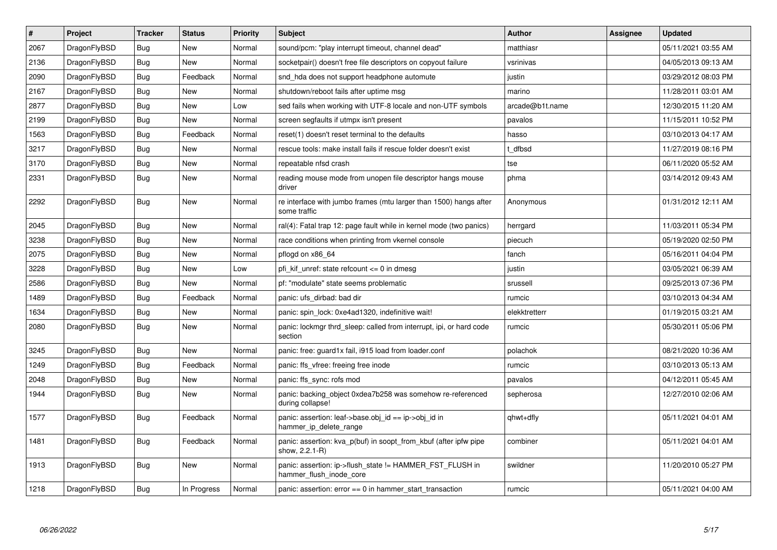| $\vert$ # | Project      | <b>Tracker</b> | <b>Status</b> | <b>Priority</b> | Subject                                                                             | <b>Author</b>   | Assignee | <b>Updated</b>      |
|-----------|--------------|----------------|---------------|-----------------|-------------------------------------------------------------------------------------|-----------------|----------|---------------------|
| 2067      | DragonFlyBSD | <b>Bug</b>     | <b>New</b>    | Normal          | sound/pcm: "play interrupt timeout, channel dead"                                   | matthiasr       |          | 05/11/2021 03:55 AM |
| 2136      | DragonFlyBSD | <b>Bug</b>     | New           | Normal          | socketpair() doesn't free file descriptors on copyout failure                       | vsrinivas       |          | 04/05/2013 09:13 AM |
| 2090      | DragonFlyBSD | <b>Bug</b>     | Feedback      | Normal          | snd_hda does not support headphone automute                                         | justin          |          | 03/29/2012 08:03 PM |
| 2167      | DragonFlyBSD | <b>Bug</b>     | New           | Normal          | shutdown/reboot fails after uptime msg                                              | marino          |          | 11/28/2011 03:01 AM |
| 2877      | DragonFlyBSD | Bug            | New           | Low             | sed fails when working with UTF-8 locale and non-UTF symbols                        | arcade@b1t.name |          | 12/30/2015 11:20 AM |
| 2199      | DragonFlyBSD | Bug            | New           | Normal          | screen segfaults if utmpx isn't present                                             | pavalos         |          | 11/15/2011 10:52 PM |
| 1563      | DragonFlyBSD | <b>Bug</b>     | Feedback      | Normal          | reset(1) doesn't reset terminal to the defaults                                     | hasso           |          | 03/10/2013 04:17 AM |
| 3217      | DragonFlyBSD | <b>Bug</b>     | <b>New</b>    | Normal          | rescue tools: make install fails if rescue folder doesn't exist                     | t dfbsd         |          | 11/27/2019 08:16 PM |
| 3170      | DragonFlyBSD | <b>Bug</b>     | New           | Normal          | repeatable nfsd crash                                                               | tse             |          | 06/11/2020 05:52 AM |
| 2331      | DragonFlyBSD | Bug            | New           | Normal          | reading mouse mode from unopen file descriptor hangs mouse<br>driver                | phma            |          | 03/14/2012 09:43 AM |
| 2292      | DragonFlyBSD | Bug            | <b>New</b>    | Normal          | re interface with jumbo frames (mtu larger than 1500) hangs after<br>some traffic   | Anonymous       |          | 01/31/2012 12:11 AM |
| 2045      | DragonFlyBSD | Bug            | <b>New</b>    | Normal          | ral(4): Fatal trap 12: page fault while in kernel mode (two panics)                 | herrgard        |          | 11/03/2011 05:34 PM |
| 3238      | DragonFlyBSD | Bug            | <b>New</b>    | Normal          | race conditions when printing from vkernel console                                  | piecuch         |          | 05/19/2020 02:50 PM |
| 2075      | DragonFlyBSD | Bug            | New           | Normal          | pflogd on x86 64                                                                    | fanch           |          | 05/16/2011 04:04 PM |
| 3228      | DragonFlyBSD | Bug            | New           | Low             | pfi kif unref: state refcount $\leq 0$ in dmesg                                     | justin          |          | 03/05/2021 06:39 AM |
| 2586      | DragonFlyBSD | Bug            | New           | Normal          | pf: "modulate" state seems problematic                                              | srussell        |          | 09/25/2013 07:36 PM |
| 1489      | DragonFlyBSD | Bug            | Feedback      | Normal          | panic: ufs dirbad: bad dir                                                          | rumcic          |          | 03/10/2013 04:34 AM |
| 1634      | DragonFlyBSD | Bug            | <b>New</b>    | Normal          | panic: spin lock: 0xe4ad1320, indefinitive wait!                                    | elekktretterr   |          | 01/19/2015 03:21 AM |
| 2080      | DragonFlyBSD | Bug            | New           | Normal          | panic: lockmgr thrd sleep: called from interrupt, ipi, or hard code<br>section      | rumcic          |          | 05/30/2011 05:06 PM |
| 3245      | DragonFlyBSD | Bug            | New           | Normal          | panic: free: guard1x fail, i915 load from loader.conf                               | polachok        |          | 08/21/2020 10:36 AM |
| 1249      | DragonFlyBSD | Bug            | Feedback      | Normal          | panic: ffs vfree: freeing free inode                                                | rumcic          |          | 03/10/2013 05:13 AM |
| 2048      | DragonFlyBSD | <b>Bug</b>     | New           | Normal          | panic: ffs sync: rofs mod                                                           | pavalos         |          | 04/12/2011 05:45 AM |
| 1944      | DragonFlyBSD | <b>Bug</b>     | <b>New</b>    | Normal          | panic: backing object 0xdea7b258 was somehow re-referenced<br>during collapse!      | sepherosa       |          | 12/27/2010 02:06 AM |
| 1577      | DragonFlyBSD | <b>Bug</b>     | Feedback      | Normal          | panic: assertion: leaf->base.obj_id == ip->obj_id in<br>hammer_ip_delete_range      | qhwt+dfly       |          | 05/11/2021 04:01 AM |
| 1481      | DragonFlyBSD | <b>Bug</b>     | Feedback      | Normal          | panic: assertion: kva p(buf) in soopt from kbuf (after ipfw pipe<br>show, 2.2.1-R)  | combiner        |          | 05/11/2021 04:01 AM |
| 1913      | DragonFlyBSD | <b>Bug</b>     | New           | Normal          | panic: assertion: ip->flush_state != HAMMER_FST_FLUSH in<br>hammer flush inode core | swildner        |          | 11/20/2010 05:27 PM |
| 1218      | DragonFlyBSD | <b>Bug</b>     | In Progress   | Normal          | panic: assertion: $error == 0$ in hammer start transaction                          | rumcic          |          | 05/11/2021 04:00 AM |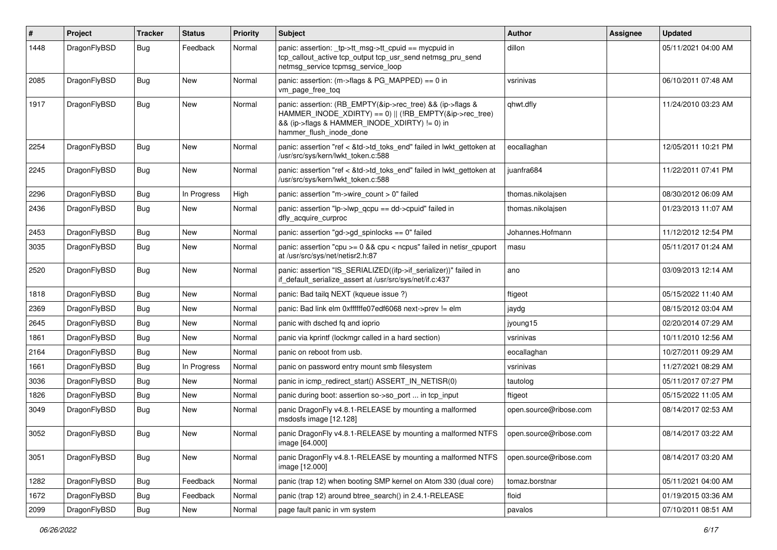| $\sharp$ | Project      | <b>Tracker</b> | <b>Status</b> | <b>Priority</b> | <b>Subject</b>                                                                                                                                                                                    | Author                 | <b>Assignee</b> | <b>Updated</b>      |
|----------|--------------|----------------|---------------|-----------------|---------------------------------------------------------------------------------------------------------------------------------------------------------------------------------------------------|------------------------|-----------------|---------------------|
| 1448     | DragonFlyBSD | Bug            | Feedback      | Normal          | panic: assertion: _tp->tt_msg->tt_cpuid == mycpuid in<br>tcp_callout_active tcp_output tcp_usr_send netmsg_pru_send<br>netmsg service tcpmsg service loop                                         | dillon                 |                 | 05/11/2021 04:00 AM |
| 2085     | DragonFlyBSD | Bug            | New           | Normal          | panic: assertion: (m->flags & PG_MAPPED) == 0 in<br>vm_page_free_toq                                                                                                                              | vsrinivas              |                 | 06/10/2011 07:48 AM |
| 1917     | DragonFlyBSD | Bug            | <b>New</b>    | Normal          | panic: assertion: (RB_EMPTY(&ip->rec_tree) && (ip->flags &<br>HAMMER_INODE_XDIRTY) == 0)    (!RB_EMPTY(&ip->rec_tree)<br>&& (ip->flags & HAMMER_INODE_XDIRTY) != 0) in<br>hammer flush inode done | qhwt.dfly              |                 | 11/24/2010 03:23 AM |
| 2254     | DragonFlyBSD | <b>Bug</b>     | New           | Normal          | panic: assertion "ref < &td->td_toks_end" failed in lwkt_gettoken at<br>/usr/src/sys/kern/lwkt token.c:588                                                                                        | eocallaghan            |                 | 12/05/2011 10:21 PM |
| 2245     | DragonFlyBSD | <b>Bug</b>     | <b>New</b>    | Normal          | panic: assertion "ref < &td->td toks end" failed in lwkt gettoken at<br>/usr/src/sys/kern/lwkt token.c:588                                                                                        | juanfra684             |                 | 11/22/2011 07:41 PM |
| 2296     | DragonFlyBSD | <b>Bug</b>     | In Progress   | High            | panic: assertion "m->wire count > 0" failed                                                                                                                                                       | thomas.nikolajsen      |                 | 08/30/2012 06:09 AM |
| 2436     | DragonFlyBSD | <b>Bug</b>     | New           | Normal          | panic: assertion "lp->lwp_qcpu == dd->cpuid" failed in<br>dfly_acquire_curproc                                                                                                                    | thomas.nikolajsen      |                 | 01/23/2013 11:07 AM |
| 2453     | DragonFlyBSD | <b>Bug</b>     | <b>New</b>    | Normal          | panic: assertion "gd->gd spinlocks == $0$ " failed                                                                                                                                                | Johannes.Hofmann       |                 | 11/12/2012 12:54 PM |
| 3035     | DragonFlyBSD | <b>Bug</b>     | <b>New</b>    | Normal          | panic: assertion "cpu >= 0 && cpu < ncpus" failed in netisr_cpuport<br>at /usr/src/sys/net/netisr2.h:87                                                                                           | masu                   |                 | 05/11/2017 01:24 AM |
| 2520     | DragonFlyBSD | <b>Bug</b>     | <b>New</b>    | Normal          | panic: assertion "IS_SERIALIZED((ifp->if_serializer))" failed in<br>if default serialize assert at /usr/src/sys/net/if.c:437                                                                      | ano                    |                 | 03/09/2013 12:14 AM |
| 1818     | DragonFlyBSD | <b>Bug</b>     | New           | Normal          | panic: Bad tailq NEXT (kqueue issue ?)                                                                                                                                                            | ftigeot                |                 | 05/15/2022 11:40 AM |
| 2369     | DragonFlyBSD | <b>Bug</b>     | New           | Normal          | panic: Bad link elm 0xffffffe07edf6068 next->prev != elm                                                                                                                                          | jaydg                  |                 | 08/15/2012 03:04 AM |
| 2645     | DragonFlyBSD | <b>Bug</b>     | <b>New</b>    | Normal          | panic with dsched fq and ioprio                                                                                                                                                                   | jyoung15               |                 | 02/20/2014 07:29 AM |
| 1861     | DragonFlyBSD | <b>Bug</b>     | New           | Normal          | panic via kprintf (lockmgr called in a hard section)                                                                                                                                              | vsrinivas              |                 | 10/11/2010 12:56 AM |
| 2164     | DragonFlyBSD | <b>Bug</b>     | New           | Normal          | panic on reboot from usb.                                                                                                                                                                         | eocallaghan            |                 | 10/27/2011 09:29 AM |
| 1661     | DragonFlyBSD | <b>Bug</b>     | In Progress   | Normal          | panic on password entry mount smb filesystem                                                                                                                                                      | vsrinivas              |                 | 11/27/2021 08:29 AM |
| 3036     | DragonFlyBSD | <b>Bug</b>     | <b>New</b>    | Normal          | panic in icmp redirect start() ASSERT IN NETISR(0)                                                                                                                                                | tautolog               |                 | 05/11/2017 07:27 PM |
| 1826     | DragonFlyBSD | <b>Bug</b>     | New           | Normal          | panic during boot: assertion so->so_port  in tcp_input                                                                                                                                            | ftigeot                |                 | 05/15/2022 11:05 AM |
| 3049     | DragonFlyBSD | <b>Bug</b>     | <b>New</b>    | Normal          | panic DragonFly v4.8.1-RELEASE by mounting a malformed<br>msdosfs image [12.128]                                                                                                                  | open.source@ribose.com |                 | 08/14/2017 02:53 AM |
| 3052     | DragonFlyBSD | Bug            | <b>New</b>    | Normal          | panic DragonFly v4.8.1-RELEASE by mounting a malformed NTFS<br>image [64.000]                                                                                                                     | open.source@ribose.com |                 | 08/14/2017 03:22 AM |
| 3051     | DragonFlyBSD | Bug            | New           | Normal          | panic DragonFly v4.8.1-RELEASE by mounting a malformed NTFS<br>image [12.000]                                                                                                                     | open.source@ribose.com |                 | 08/14/2017 03:20 AM |
| 1282     | DragonFlyBSD | <b>Bug</b>     | Feedback      | Normal          | panic (trap 12) when booting SMP kernel on Atom 330 (dual core)                                                                                                                                   | tomaz.borstnar         |                 | 05/11/2021 04:00 AM |
| 1672     | DragonFlyBSD | <b>Bug</b>     | Feedback      | Normal          | panic (trap 12) around btree_search() in 2.4.1-RELEASE                                                                                                                                            | floid                  |                 | 01/19/2015 03:36 AM |
| 2099     | DragonFlyBSD | <b>Bug</b>     | New           | Normal          | page fault panic in vm system                                                                                                                                                                     | pavalos                |                 | 07/10/2011 08:51 AM |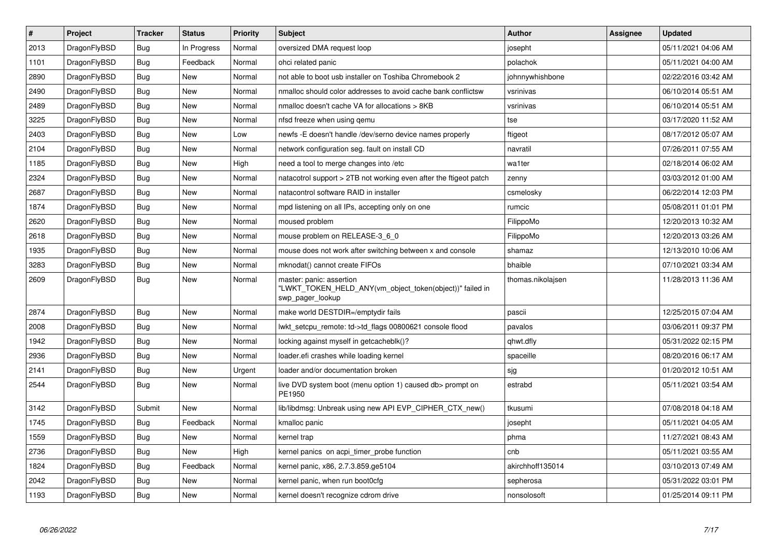| $\vert$ # | Project      | <b>Tracker</b> | <b>Status</b> | Priority | <b>Subject</b>                                                                                           | Author            | Assignee | <b>Updated</b>      |
|-----------|--------------|----------------|---------------|----------|----------------------------------------------------------------------------------------------------------|-------------------|----------|---------------------|
| 2013      | DragonFlyBSD | Bug            | In Progress   | Normal   | oversized DMA request loop                                                                               | josepht           |          | 05/11/2021 04:06 AM |
| 1101      | DragonFlyBSD | Bug            | Feedback      | Normal   | ohci related panic                                                                                       | polachok          |          | 05/11/2021 04:00 AM |
| 2890      | DragonFlyBSD | <b>Bug</b>     | New           | Normal   | not able to boot usb installer on Toshiba Chromebook 2                                                   | johnnywhishbone   |          | 02/22/2016 03:42 AM |
| 2490      | DragonFlyBSD | Bug            | <b>New</b>    | Normal   | nmalloc should color addresses to avoid cache bank conflictsw                                            | vsrinivas         |          | 06/10/2014 05:51 AM |
| 2489      | DragonFlyBSD | <b>Bug</b>     | <b>New</b>    | Normal   | nmalloc doesn't cache VA for allocations > 8KB                                                           | vsrinivas         |          | 06/10/2014 05:51 AM |
| 3225      | DragonFlyBSD | <b>Bug</b>     | <b>New</b>    | Normal   | nfsd freeze when using gemu                                                                              | tse               |          | 03/17/2020 11:52 AM |
| 2403      | DragonFlyBSD | Bug            | <b>New</b>    | Low      | newfs -E doesn't handle /dev/serno device names properly                                                 | ftigeot           |          | 08/17/2012 05:07 AM |
| 2104      | DragonFlyBSD | <b>Bug</b>     | <b>New</b>    | Normal   | network configuration seg. fault on install CD                                                           | navratil          |          | 07/26/2011 07:55 AM |
| 1185      | DragonFlyBSD | Bug            | <b>New</b>    | High     | need a tool to merge changes into /etc                                                                   | wa1ter            |          | 02/18/2014 06:02 AM |
| 2324      | DragonFlyBSD | <b>Bug</b>     | <b>New</b>    | Normal   | natacotrol support > 2TB not working even after the ftigeot patch                                        | zenny             |          | 03/03/2012 01:00 AM |
| 2687      | DragonFlyBSD | Bug            | New           | Normal   | natacontrol software RAID in installer                                                                   | csmelosky         |          | 06/22/2014 12:03 PM |
| 1874      | DragonFlyBSD | Bug            | New           | Normal   | mpd listening on all IPs, accepting only on one                                                          | rumcic            |          | 05/08/2011 01:01 PM |
| 2620      | DragonFlyBSD | Bug            | <b>New</b>    | Normal   | moused problem                                                                                           | FilippoMo         |          | 12/20/2013 10:32 AM |
| 2618      | DragonFlyBSD | Bug            | New           | Normal   | mouse problem on RELEASE-3 6 0                                                                           | FilippoMo         |          | 12/20/2013 03:26 AM |
| 1935      | DragonFlyBSD | Bug            | New           | Normal   | mouse does not work after switching between x and console                                                | shamaz            |          | 12/13/2010 10:06 AM |
| 3283      | DragonFlyBSD | Bug            | New           | Normal   | mknodat() cannot create FIFOs                                                                            | bhaible           |          | 07/10/2021 03:34 AM |
| 2609      | DragonFlyBSD | <b>Bug</b>     | New           | Normal   | master: panic: assertion<br>"LWKT TOKEN HELD ANY(vm object token(object))" failed in<br>swp_pager_lookup | thomas.nikolajsen |          | 11/28/2013 11:36 AM |
| 2874      | DragonFlyBSD | Bug            | <b>New</b>    | Normal   | make world DESTDIR=/emptydir fails                                                                       | pascii            |          | 12/25/2015 07:04 AM |
| 2008      | DragonFlyBSD | Bug            | New           | Normal   | lwkt setcpu remote: td->td flags 00800621 console flood                                                  | pavalos           |          | 03/06/2011 09:37 PM |
| 1942      | DragonFlyBSD | Bug            | <b>New</b>    | Normal   | locking against myself in getcacheblk()?                                                                 | qhwt.dfly         |          | 05/31/2022 02:15 PM |
| 2936      | DragonFlyBSD | Bug            | New           | Normal   | loader.efi crashes while loading kernel                                                                  | spaceille         |          | 08/20/2016 06:17 AM |
| 2141      | DragonFlyBSD | <b>Bug</b>     | New           | Urgent   | loader and/or documentation broken                                                                       | sjg               |          | 01/20/2012 10:51 AM |
| 2544      | DragonFlyBSD | Bug            | New           | Normal   | live DVD system boot (menu option 1) caused db> prompt on<br>PE1950                                      | estrabd           |          | 05/11/2021 03:54 AM |
| 3142      | DragonFlyBSD | Submit         | New           | Normal   | lib/libdmsg: Unbreak using new API EVP CIPHER CTX new()                                                  | tkusumi           |          | 07/08/2018 04:18 AM |
| 1745      | DragonFlyBSD | <b>Bug</b>     | Feedback      | Normal   | kmalloc panic                                                                                            | josepht           |          | 05/11/2021 04:05 AM |
| 1559      | DragonFlyBSD | Bug            | New           | Normal   | kernel trap                                                                                              | phma              |          | 11/27/2021 08:43 AM |
| 2736      | DragonFlyBSD | <b>Bug</b>     | New           | High     | kernel panics on acpi timer probe function                                                               | cnb               |          | 05/11/2021 03:55 AM |
| 1824      | DragonFlyBSD | Bug            | Feedback      | Normal   | kernel panic, x86, 2.7.3.859.ge5104                                                                      | akirchhoff135014  |          | 03/10/2013 07:49 AM |
| 2042      | DragonFlyBSD | <b>Bug</b>     | New           | Normal   | kernel panic, when run boot0cfg                                                                          | sepherosa         |          | 05/31/2022 03:01 PM |
| 1193      | DragonFlyBSD | Bug            | <b>New</b>    | Normal   | kernel doesn't recognize cdrom drive                                                                     | nonsolosoft       |          | 01/25/2014 09:11 PM |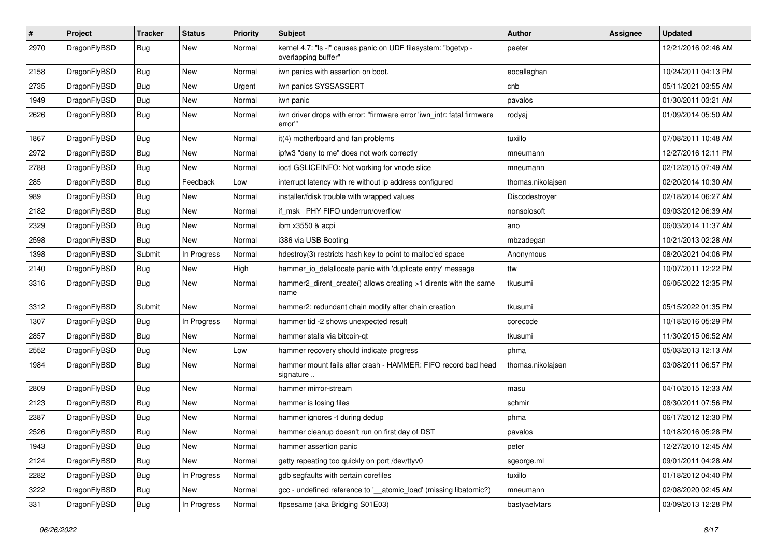| $\pmb{\#}$ | Project      | <b>Tracker</b> | <b>Status</b> | <b>Priority</b> | <b>Subject</b>                                                                       | Author            | Assignee | <b>Updated</b>      |
|------------|--------------|----------------|---------------|-----------------|--------------------------------------------------------------------------------------|-------------------|----------|---------------------|
| 2970       | DragonFlyBSD | Bug            | New           | Normal          | kernel 4.7: "Is -I" causes panic on UDF filesystem: "bgetvp -<br>overlapping buffer" | peeter            |          | 12/21/2016 02:46 AM |
| 2158       | DragonFlyBSD | <b>Bug</b>     | <b>New</b>    | Normal          | iwn panics with assertion on boot.                                                   | eocallaghan       |          | 10/24/2011 04:13 PM |
| 2735       | DragonFlyBSD | Bug            | New           | Urgent          | iwn panics SYSSASSERT                                                                | cnb               |          | 05/11/2021 03:55 AM |
| 1949       | DragonFlyBSD | <b>Bug</b>     | <b>New</b>    | Normal          | iwn panic                                                                            | pavalos           |          | 01/30/2011 03:21 AM |
| 2626       | DragonFlyBSD | Bug            | New           | Normal          | iwn driver drops with error: "firmware error 'iwn_intr: fatal firmware<br>error"     | rodyaj            |          | 01/09/2014 05:50 AM |
| 1867       | DragonFlyBSD | Bug            | <b>New</b>    | Normal          | it(4) motherboard and fan problems                                                   | tuxillo           |          | 07/08/2011 10:48 AM |
| 2972       | DragonFlyBSD | Bug            | <b>New</b>    | Normal          | ipfw3 "deny to me" does not work correctly                                           | mneumann          |          | 12/27/2016 12:11 PM |
| 2788       | DragonFlyBSD | Bug            | <b>New</b>    | Normal          | ioctl GSLICEINFO: Not working for vnode slice                                        | mneumann          |          | 02/12/2015 07:49 AM |
| 285        | DragonFlyBSD | <b>Bug</b>     | Feedback      | Low             | interrupt latency with re without ip address configured                              | thomas.nikolajsen |          | 02/20/2014 10:30 AM |
| 989        | DragonFlyBSD | Bug            | <b>New</b>    | Normal          | installer/fdisk trouble with wrapped values                                          | Discodestroyer    |          | 02/18/2014 06:27 AM |
| 2182       | DragonFlyBSD | <b>Bug</b>     | <b>New</b>    | Normal          | if_msk PHY FIFO underrun/overflow                                                    | nonsolosoft       |          | 09/03/2012 06:39 AM |
| 2329       | DragonFlyBSD | <b>Bug</b>     | New           | Normal          | ibm x3550 & acpi                                                                     | ano               |          | 06/03/2014 11:37 AM |
| 2598       | DragonFlyBSD | Bug            | New           | Normal          | i386 via USB Booting                                                                 | mbzadegan         |          | 10/21/2013 02:28 AM |
| 1398       | DragonFlyBSD | Submit         | In Progress   | Normal          | hdestroy(3) restricts hash key to point to malloc'ed space                           | Anonymous         |          | 08/20/2021 04:06 PM |
| 2140       | DragonFlyBSD | Bug            | <b>New</b>    | High            | hammer_io_delallocate panic with 'duplicate entry' message                           | ttw               |          | 10/07/2011 12:22 PM |
| 3316       | DragonFlyBSD | Bug            | New           | Normal          | hammer2_dirent_create() allows creating >1 dirents with the same<br>name             | tkusumi           |          | 06/05/2022 12:35 PM |
| 3312       | DragonFlyBSD | Submit         | <b>New</b>    | Normal          | hammer2: redundant chain modify after chain creation                                 | tkusumi           |          | 05/15/2022 01:35 PM |
| 1307       | DragonFlyBSD | Bug            | In Progress   | Normal          | hammer tid -2 shows unexpected result                                                | corecode          |          | 10/18/2016 05:29 PM |
| 2857       | DragonFlyBSD | Bug            | <b>New</b>    | Normal          | hammer stalls via bitcoin-qt                                                         | tkusumi           |          | 11/30/2015 06:52 AM |
| 2552       | DragonFlyBSD | Bug            | <b>New</b>    | Low             | hammer recovery should indicate progress                                             | phma              |          | 05/03/2013 12:13 AM |
| 1984       | DragonFlyBSD | Bug            | New           | Normal          | hammer mount fails after crash - HAMMER: FIFO record bad head<br>signature           | thomas.nikolajsen |          | 03/08/2011 06:57 PM |
| 2809       | DragonFlyBSD | <b>Bug</b>     | <b>New</b>    | Normal          | hammer mirror-stream                                                                 | masu              |          | 04/10/2015 12:33 AM |
| 2123       | DragonFlyBSD | Bug            | New           | Normal          | hammer is losing files                                                               | schmir            |          | 08/30/2011 07:56 PM |
| 2387       | DragonFlyBSD | <b>Bug</b>     | New           | Normal          | hammer ignores -t during dedup                                                       | phma              |          | 06/17/2012 12:30 PM |
| 2526       | DragonFlyBSD | <b>Bug</b>     | New           | Normal          | hammer cleanup doesn't run on first day of DST                                       | pavalos           |          | 10/18/2016 05:28 PM |
| 1943       | DragonFlyBSD | <b>Bug</b>     | New           | Normal          | hammer assertion panic                                                               | peter             |          | 12/27/2010 12:45 AM |
| 2124       | DragonFlyBSD | Bug            | New           | Normal          | getty repeating too quickly on port /dev/ttyv0                                       | sgeorge.ml        |          | 09/01/2011 04:28 AM |
| 2282       | DragonFlyBSD | <b>Bug</b>     | In Progress   | Normal          | gdb segfaults with certain corefiles                                                 | tuxillo           |          | 01/18/2012 04:40 PM |
| 3222       | DragonFlyBSD | Bug            | New           | Normal          | gcc - undefined reference to '__atomic_load' (missing libatomic?)                    | mneumann          |          | 02/08/2020 02:45 AM |
| 331        | DragonFlyBSD | <b>Bug</b>     | In Progress   | Normal          | ftpsesame (aka Bridging S01E03)                                                      | bastyaelvtars     |          | 03/09/2013 12:28 PM |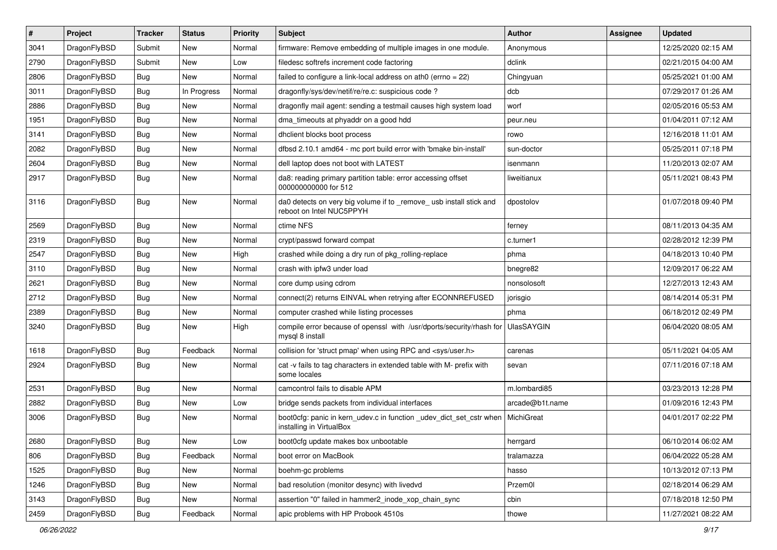| $\overline{\boldsymbol{H}}$ | Project      | <b>Tracker</b> | <b>Status</b> | <b>Priority</b> | <b>Subject</b>                                                                                  | Author            | <b>Assignee</b> | <b>Updated</b>      |
|-----------------------------|--------------|----------------|---------------|-----------------|-------------------------------------------------------------------------------------------------|-------------------|-----------------|---------------------|
| 3041                        | DragonFlyBSD | Submit         | New           | Normal          | firmware: Remove embedding of multiple images in one module.                                    | Anonymous         |                 | 12/25/2020 02:15 AM |
| 2790                        | DragonFlyBSD | Submit         | New           | Low             | filedesc softrefs increment code factoring                                                      | dclink            |                 | 02/21/2015 04:00 AM |
| 2806                        | DragonFlyBSD | <b>Bug</b>     | New           | Normal          | failed to configure a link-local address on ath0 (errno = 22)                                   | Chingyuan         |                 | 05/25/2021 01:00 AM |
| 3011                        | DragonFlyBSD | <b>Bug</b>     | In Progress   | Normal          | dragonfly/sys/dev/netif/re/re.c: suspicious code ?                                              | dcb               |                 | 07/29/2017 01:26 AM |
| 2886                        | DragonFlyBSD | Bug            | <b>New</b>    | Normal          | dragonfly mail agent: sending a testmail causes high system load                                | worf              |                 | 02/05/2016 05:53 AM |
| 1951                        | DragonFlyBSD | <b>Bug</b>     | New           | Normal          | dma timeouts at phyaddr on a good hdd                                                           | peur.neu          |                 | 01/04/2011 07:12 AM |
| 3141                        | DragonFlyBSD | <b>Bug</b>     | New           | Normal          | dhclient blocks boot process                                                                    | rowo              |                 | 12/16/2018 11:01 AM |
| 2082                        | DragonFlyBSD | <b>Bug</b>     | <b>New</b>    | Normal          | dfbsd 2.10.1 amd64 - mc port build error with 'bmake bin-install'                               | sun-doctor        |                 | 05/25/2011 07:18 PM |
| 2604                        | DragonFlyBSD | Bug            | <b>New</b>    | Normal          | dell laptop does not boot with LATEST                                                           | isenmann          |                 | 11/20/2013 02:07 AM |
| 2917                        | DragonFlyBSD | Bug            | New           | Normal          | da8: reading primary partition table: error accessing offset<br>000000000000 for 512            | liweitianux       |                 | 05/11/2021 08:43 PM |
| 3116                        | DragonFlyBSD | Bug            | New           | Normal          | da0 detects on very big volume if to _remove_ usb install stick and<br>reboot on Intel NUC5PPYH | dpostolov         |                 | 01/07/2018 09:40 PM |
| 2569                        | DragonFlyBSD | <b>Bug</b>     | <b>New</b>    | Normal          | ctime NFS                                                                                       | ferney            |                 | 08/11/2013 04:35 AM |
| 2319                        | DragonFlyBSD | Bug            | New           | Normal          | crypt/passwd forward compat                                                                     | c.turner1         |                 | 02/28/2012 12:39 PM |
| 2547                        | DragonFlyBSD | <b>Bug</b>     | <b>New</b>    | High            | crashed while doing a dry run of pkg_rolling-replace                                            | phma              |                 | 04/18/2013 10:40 PM |
| 3110                        | DragonFlyBSD | Bug            | New           | Normal          | crash with ipfw3 under load                                                                     | bnegre82          |                 | 12/09/2017 06:22 AM |
| 2621                        | DragonFlyBSD | Bug            | <b>New</b>    | Normal          | core dump using cdrom                                                                           | nonsolosoft       |                 | 12/27/2013 12:43 AM |
| 2712                        | DragonFlyBSD | Bug            | <b>New</b>    | Normal          | connect(2) returns EINVAL when retrying after ECONNREFUSED                                      | jorisgio          |                 | 08/14/2014 05:31 PM |
| 2389                        | DragonFlyBSD | Bug            | New           | Normal          | computer crashed while listing processes                                                        | phma              |                 | 06/18/2012 02:49 PM |
| 3240                        | DragonFlyBSD | Bug            | <b>New</b>    | High            | compile error because of openssl with /usr/dports/security/rhash for<br>mysql 8 install         | <b>UlasSAYGIN</b> |                 | 06/04/2020 08:05 AM |
| 1618                        | DragonFlyBSD | Bug            | Feedback      | Normal          | collision for 'struct pmap' when using RPC and <sys user.h=""></sys>                            | carenas           |                 | 05/11/2021 04:05 AM |
| 2924                        | DragonFlyBSD | <b>Bug</b>     | New           | Normal          | cat -v fails to tag characters in extended table with M- prefix with<br>some locales            | sevan             |                 | 07/11/2016 07:18 AM |
| 2531                        | DragonFlyBSD | Bug            | <b>New</b>    | Normal          | camcontrol fails to disable APM                                                                 | m.lombardi85      |                 | 03/23/2013 12:28 PM |
| 2882                        | DragonFlyBSD | Bug            | <b>New</b>    | Low             | bridge sends packets from individual interfaces                                                 | arcade@b1t.name   |                 | 01/09/2016 12:43 PM |
| 3006                        | DragonFlyBSD | Bug            | New           | Normal          | boot0cfg: panic in kern_udev.c in function _udev_dict_set_cstr when<br>installing in VirtualBox | MichiGreat        |                 | 04/01/2017 02:22 PM |
| 2680                        | DragonFlyBSD | Bug            | New           | Low             | boot0cfg update makes box unbootable                                                            | herrgard          |                 | 06/10/2014 06:02 AM |
| 806                         | DragonFlyBSD | Bug            | Feedback      | Normal          | boot error on MacBook                                                                           | tralamazza        |                 | 06/04/2022 05:28 AM |
| 1525                        | DragonFlyBSD | <b>Bug</b>     | New           | Normal          | boehm-gc problems                                                                               | hasso             |                 | 10/13/2012 07:13 PM |
| 1246                        | DragonFlyBSD | Bug            | <b>New</b>    | Normal          | bad resolution (monitor desync) with livedvd                                                    | Przem0l           |                 | 02/18/2014 06:29 AM |
| 3143                        | DragonFlyBSD | Bug            | <b>New</b>    | Normal          | assertion "0" failed in hammer2_inode_xop_chain_sync                                            | cbin              |                 | 07/18/2018 12:50 PM |
| 2459                        | DragonFlyBSD | Bug            | Feedback      | Normal          | apic problems with HP Probook 4510s                                                             | thowe             |                 | 11/27/2021 08:22 AM |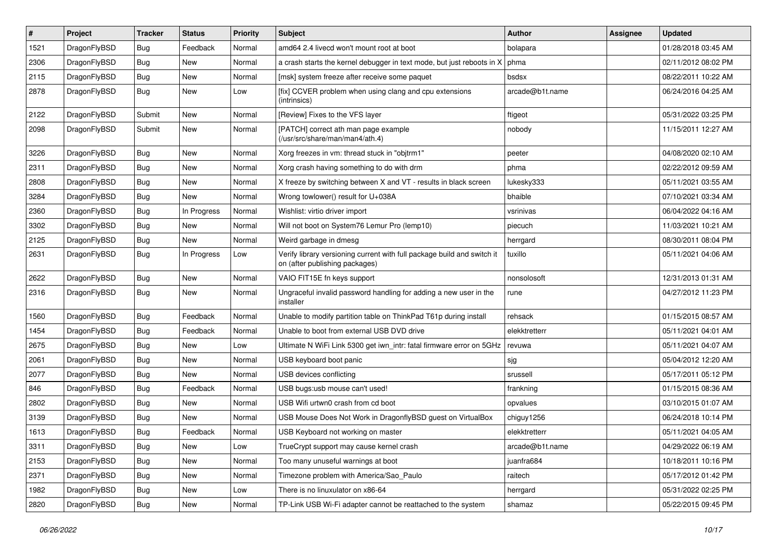| $\sharp$ | Project      | <b>Tracker</b> | <b>Status</b> | <b>Priority</b> | Subject                                                                                                   | Author          | Assignee | <b>Updated</b>      |
|----------|--------------|----------------|---------------|-----------------|-----------------------------------------------------------------------------------------------------------|-----------------|----------|---------------------|
| 1521     | DragonFlyBSD | <b>Bug</b>     | Feedback      | Normal          | amd64 2.4 livecd won't mount root at boot                                                                 | bolapara        |          | 01/28/2018 03:45 AM |
| 2306     | DragonFlyBSD | <b>Bug</b>     | <b>New</b>    | Normal          | a crash starts the kernel debugger in text mode, but just reboots in X                                    | phma            |          | 02/11/2012 08:02 PM |
| 2115     | DragonFlyBSD | <b>Bug</b>     | New           | Normal          | [msk] system freeze after receive some paquet                                                             | bsdsx           |          | 08/22/2011 10:22 AM |
| 2878     | DragonFlyBSD | Bug            | <b>New</b>    | Low             | [fix] CCVER problem when using clang and cpu extensions<br>(intrinsics)                                   | arcade@b1t.name |          | 06/24/2016 04:25 AM |
| 2122     | DragonFlyBSD | Submit         | New           | Normal          | [Review] Fixes to the VFS layer                                                                           | ftigeot         |          | 05/31/2022 03:25 PM |
| 2098     | DragonFlyBSD | Submit         | <b>New</b>    | Normal          | [PATCH] correct ath man page example<br>(/usr/src/share/man/man4/ath.4)                                   | nobody          |          | 11/15/2011 12:27 AM |
| 3226     | DragonFlyBSD | Bug            | <b>New</b>    | Normal          | Xorg freezes in vm: thread stuck in "objtrm1"                                                             | peeter          |          | 04/08/2020 02:10 AM |
| 2311     | DragonFlyBSD | Bug            | <b>New</b>    | Normal          | Xorg crash having something to do with drm                                                                | phma            |          | 02/22/2012 09:59 AM |
| 2808     | DragonFlyBSD | <b>Bug</b>     | New           | Normal          | X freeze by switching between X and VT - results in black screen                                          | lukesky333      |          | 05/11/2021 03:55 AM |
| 3284     | DragonFlyBSD | Bug            | <b>New</b>    | Normal          | Wrong towlower() result for U+038A                                                                        | bhaible         |          | 07/10/2021 03:34 AM |
| 2360     | DragonFlyBSD | Bug            | In Progress   | Normal          | Wishlist: virtio driver import                                                                            | vsrinivas       |          | 06/04/2022 04:16 AM |
| 3302     | DragonFlyBSD | Bug            | New           | Normal          | Will not boot on System76 Lemur Pro (lemp10)                                                              | piecuch         |          | 11/03/2021 10:21 AM |
| 2125     | DragonFlyBSD | <b>Bug</b>     | New           | Normal          | Weird garbage in dmesg                                                                                    | herrgard        |          | 08/30/2011 08:04 PM |
| 2631     | DragonFlyBSD | Bug            | In Progress   | Low             | Verify library versioning current with full package build and switch it<br>on (after publishing packages) | tuxillo         |          | 05/11/2021 04:06 AM |
| 2622     | DragonFlyBSD | <b>Bug</b>     | New           | Normal          | VAIO FIT15E fn keys support                                                                               | nonsolosoft     |          | 12/31/2013 01:31 AM |
| 2316     | DragonFlyBSD | <b>Bug</b>     | New           | Normal          | Ungraceful invalid password handling for adding a new user in the<br>installer                            | rune            |          | 04/27/2012 11:23 PM |
| 1560     | DragonFlyBSD | Bug            | Feedback      | Normal          | Unable to modify partition table on ThinkPad T61p during install                                          | rehsack         |          | 01/15/2015 08:57 AM |
| 1454     | DragonFlyBSD | Bug            | Feedback      | Normal          | Unable to boot from external USB DVD drive                                                                | elekktretterr   |          | 05/11/2021 04:01 AM |
| 2675     | DragonFlyBSD | Bug            | New           | Low             | Ultimate N WiFi Link 5300 get iwn_intr: fatal firmware error on 5GHz                                      | revuwa          |          | 05/11/2021 04:07 AM |
| 2061     | DragonFlyBSD | <b>Bug</b>     | New           | Normal          | USB keyboard boot panic                                                                                   | sjg             |          | 05/04/2012 12:20 AM |
| 2077     | DragonFlyBSD | <b>Bug</b>     | New           | Normal          | USB devices conflicting                                                                                   | srussell        |          | 05/17/2011 05:12 PM |
| 846      | DragonFlyBSD | Bug            | Feedback      | Normal          | USB bugs:usb mouse can't used!                                                                            | frankning       |          | 01/15/2015 08:36 AM |
| 2802     | DragonFlyBSD | <b>Bug</b>     | New           | Normal          | USB Wifi urtwn0 crash from cd boot                                                                        | opvalues        |          | 03/10/2015 01:07 AM |
| 3139     | DragonFlyBSD | Bug            | New           | Normal          | USB Mouse Does Not Work in DragonflyBSD guest on VirtualBox                                               | chiguy1256      |          | 06/24/2018 10:14 PM |
| 1613     | DragonFlyBSD | Bug            | Feedback      | Normal          | USB Keyboard not working on master                                                                        | elekktretterr   |          | 05/11/2021 04:05 AM |
| 3311     | DragonFlyBSD | <b>Bug</b>     | New           | Low             | TrueCrypt support may cause kernel crash                                                                  | arcade@b1t.name |          | 04/29/2022 06:19 AM |
| 2153     | DragonFlyBSD | <b>Bug</b>     | <b>New</b>    | Normal          | Too many unuseful warnings at boot                                                                        | juanfra684      |          | 10/18/2011 10:16 PM |
| 2371     | DragonFlyBSD | <b>Bug</b>     | New           | Normal          | Timezone problem with America/Sao_Paulo                                                                   | raitech         |          | 05/17/2012 01:42 PM |
| 1982     | DragonFlyBSD | <b>Bug</b>     | New           | Low             | There is no linuxulator on x86-64                                                                         | herrgard        |          | 05/31/2022 02:25 PM |
| 2820     | DragonFlyBSD | <b>Bug</b>     | New           | Normal          | TP-Link USB Wi-Fi adapter cannot be reattached to the system                                              | shamaz          |          | 05/22/2015 09:45 PM |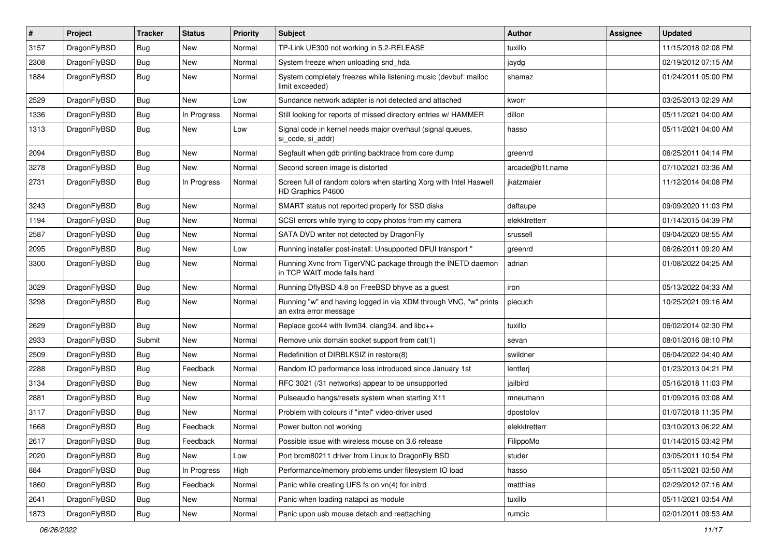| $\sharp$ | Project      | <b>Tracker</b> | <b>Status</b> | <b>Priority</b> | Subject                                                                                    | Author          | Assignee | <b>Updated</b>      |
|----------|--------------|----------------|---------------|-----------------|--------------------------------------------------------------------------------------------|-----------------|----------|---------------------|
| 3157     | DragonFlyBSD | <b>Bug</b>     | New           | Normal          | TP-Link UE300 not working in 5.2-RELEASE                                                   | tuxillo         |          | 11/15/2018 02:08 PM |
| 2308     | DragonFlyBSD | <b>Bug</b>     | New           | Normal          | System freeze when unloading snd_hda                                                       | jaydg           |          | 02/19/2012 07:15 AM |
| 1884     | DragonFlyBSD | <b>Bug</b>     | New           | Normal          | System completely freezes while listening music (devbuf: malloc<br>limit exceeded)         | shamaz          |          | 01/24/2011 05:00 PM |
| 2529     | DragonFlyBSD | <b>Bug</b>     | <b>New</b>    | Low             | Sundance network adapter is not detected and attached                                      | kworr           |          | 03/25/2013 02:29 AM |
| 1336     | DragonFlyBSD | <b>Bug</b>     | In Progress   | Normal          | Still looking for reports of missed directory entries w/ HAMMER                            | dillon          |          | 05/11/2021 04:00 AM |
| 1313     | DragonFlyBSD | <b>Bug</b>     | New           | Low             | Signal code in kernel needs major overhaul (signal queues,<br>si code, si addr)            | hasso           |          | 05/11/2021 04:00 AM |
| 2094     | DragonFlyBSD | <b>Bug</b>     | New           | Normal          | Segfault when gdb printing backtrace from core dump                                        | greenrd         |          | 06/25/2011 04:14 PM |
| 3278     | DragonFlyBSD | <b>Bug</b>     | New           | Normal          | Second screen image is distorted                                                           | arcade@b1t.name |          | 07/10/2021 03:36 AM |
| 2731     | DragonFlyBSD | <b>Bug</b>     | In Progress   | Normal          | Screen full of random colors when starting Xorg with Intel Haswell<br>HD Graphics P4600    | jkatzmaier      |          | 11/12/2014 04:08 PM |
| 3243     | DragonFlyBSD | <b>Bug</b>     | <b>New</b>    | Normal          | SMART status not reported properly for SSD disks                                           | daftaupe        |          | 09/09/2020 11:03 PM |
| 1194     | DragonFlyBSD | <b>Bug</b>     | New           | Normal          | SCSI errors while trying to copy photos from my camera                                     | elekktretterr   |          | 01/14/2015 04:39 PM |
| 2587     | DragonFlyBSD | <b>Bug</b>     | New           | Normal          | SATA DVD writer not detected by DragonFly                                                  | srussell        |          | 09/04/2020 08:55 AM |
| 2095     | DragonFlyBSD | <b>Bug</b>     | <b>New</b>    | Low             | Running installer post-install: Unsupported DFUI transport "                               | greenrd         |          | 06/26/2011 09:20 AM |
| 3300     | DragonFlyBSD | <b>Bug</b>     | New           | Normal          | Running Xvnc from TigerVNC package through the INETD daemon<br>in TCP WAIT mode fails hard | adrian          |          | 01/08/2022 04:25 AM |
| 3029     | DragonFlyBSD | <b>Bug</b>     | New           | Normal          | Running DflyBSD 4.8 on FreeBSD bhyve as a guest                                            | iron            |          | 05/13/2022 04:33 AM |
| 3298     | DragonFlyBSD | <b>Bug</b>     | New           | Normal          | Running "w" and having logged in via XDM through VNC, "w" prints<br>an extra error message | piecuch         |          | 10/25/2021 09:16 AM |
| 2629     | DragonFlyBSD | <b>Bug</b>     | New           | Normal          | Replace gcc44 with llvm34, clang34, and libc++                                             | tuxillo         |          | 06/02/2014 02:30 PM |
| 2933     | DragonFlyBSD | Submit         | New           | Normal          | Remove unix domain socket support from cat(1)                                              | sevan           |          | 08/01/2016 08:10 PM |
| 2509     | DragonFlyBSD | <b>Bug</b>     | New           | Normal          | Redefinition of DIRBLKSIZ in restore(8)                                                    | swildner        |          | 06/04/2022 04:40 AM |
| 2288     | DragonFlyBSD | <b>Bug</b>     | Feedback      | Normal          | Random IO performance loss introduced since January 1st                                    | lentferj        |          | 01/23/2013 04:21 PM |
| 3134     | DragonFlyBSD | <b>Bug</b>     | New           | Normal          | RFC 3021 (/31 networks) appear to be unsupported                                           | jailbird        |          | 05/16/2018 11:03 PM |
| 2881     | DragonFlyBSD | Bug            | New           | Normal          | Pulseaudio hangs/resets system when starting X11                                           | mneumann        |          | 01/09/2016 03:08 AM |
| 3117     | DragonFlyBSD | Bug            | New           | Normal          | Problem with colours if "intel" video-driver used                                          | dpostolov       |          | 01/07/2018 11:35 PM |
| 1668     | DragonFlyBSD | Bug            | Feedback      | Normal          | Power button not working                                                                   | elekktretterr   |          | 03/10/2013 06:22 AM |
| 2617     | DragonFlyBSD | <b>Bug</b>     | Feedback      | Normal          | Possible issue with wireless mouse on 3.6 release                                          | FilippoMo       |          | 01/14/2015 03:42 PM |
| 2020     | DragonFlyBSD | <b>Bug</b>     | New           | Low             | Port brcm80211 driver from Linux to DragonFly BSD                                          | studer          |          | 03/05/2011 10:54 PM |
| 884      | DragonFlyBSD | <b>Bug</b>     | In Progress   | High            | Performance/memory problems under filesystem IO load                                       | hasso           |          | 05/11/2021 03:50 AM |
| 1860     | DragonFlyBSD | <b>Bug</b>     | Feedback      | Normal          | Panic while creating UFS fs on vn(4) for initrd                                            | matthias        |          | 02/29/2012 07:16 AM |
| 2641     | DragonFlyBSD | <b>Bug</b>     | <b>New</b>    | Normal          | Panic when loading natapci as module                                                       | tuxillo         |          | 05/11/2021 03:54 AM |
| 1873     | DragonFlyBSD | Bug            | New           | Normal          | Panic upon usb mouse detach and reattaching                                                | rumcic          |          | 02/01/2011 09:53 AM |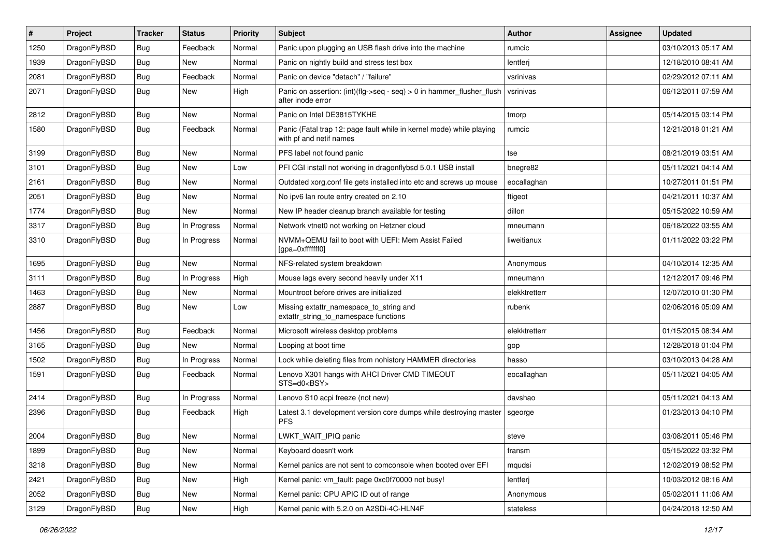| $\sharp$ | Project      | <b>Tracker</b> | <b>Status</b> | <b>Priority</b> | Subject                                                                                         | <b>Author</b> | Assignee | <b>Updated</b>      |
|----------|--------------|----------------|---------------|-----------------|-------------------------------------------------------------------------------------------------|---------------|----------|---------------------|
| 1250     | DragonFlyBSD | Bug            | Feedback      | Normal          | Panic upon plugging an USB flash drive into the machine                                         | rumcic        |          | 03/10/2013 05:17 AM |
| 1939     | DragonFlyBSD | Bug            | New           | Normal          | Panic on nightly build and stress test box                                                      | lentferj      |          | 12/18/2010 08:41 AM |
| 2081     | DragonFlyBSD | <b>Bug</b>     | Feedback      | Normal          | Panic on device "detach" / "failure"                                                            | vsrinivas     |          | 02/29/2012 07:11 AM |
| 2071     | DragonFlyBSD | Bug            | New           | High            | Panic on assertion: (int)(flg->seq - seq) > 0 in hammer_flusher_flush<br>after inode error      | vsrinivas     |          | 06/12/2011 07:59 AM |
| 2812     | DragonFlyBSD | <b>Bug</b>     | New           | Normal          | Panic on Intel DE3815TYKHE                                                                      | tmorp         |          | 05/14/2015 03:14 PM |
| 1580     | DragonFlyBSD | <b>Bug</b>     | Feedback      | Normal          | Panic (Fatal trap 12: page fault while in kernel mode) while playing<br>with pf and netif names | rumcic        |          | 12/21/2018 01:21 AM |
| 3199     | DragonFlyBSD | Bug            | <b>New</b>    | Normal          | PFS label not found panic                                                                       | tse           |          | 08/21/2019 03:51 AM |
| 3101     | DragonFlyBSD | Bug            | <b>New</b>    | Low             | PFI CGI install not working in dragonflybsd 5.0.1 USB install                                   | bnegre82      |          | 05/11/2021 04:14 AM |
| 2161     | DragonFlyBSD | <b>Bug</b>     | <b>New</b>    | Normal          | Outdated xorg.conf file gets installed into etc and screws up mouse                             | eocallaghan   |          | 10/27/2011 01:51 PM |
| 2051     | DragonFlyBSD | Bug            | <b>New</b>    | Normal          | No ipv6 lan route entry created on 2.10                                                         | ftigeot       |          | 04/21/2011 10:37 AM |
| 1774     | DragonFlyBSD | <b>Bug</b>     | <b>New</b>    | Normal          | New IP header cleanup branch available for testing                                              | dillon        |          | 05/15/2022 10:59 AM |
| 3317     | DragonFlyBSD | <b>Bug</b>     | In Progress   | Normal          | Network vtnet0 not working on Hetzner cloud                                                     | mneumann      |          | 06/18/2022 03:55 AM |
| 3310     | DragonFlyBSD | Bug            | In Progress   | Normal          | NVMM+QEMU fail to boot with UEFI: Mem Assist Failed<br>[gpa=0xfffffff0]                         | liweitianux   |          | 01/11/2022 03:22 PM |
| 1695     | DragonFlyBSD | Bug            | <b>New</b>    | Normal          | NFS-related system breakdown                                                                    | Anonymous     |          | 04/10/2014 12:35 AM |
| 3111     | DragonFlyBSD | Bug            | In Progress   | High            | Mouse lags every second heavily under X11                                                       | mneumann      |          | 12/12/2017 09:46 PM |
| 1463     | DragonFlyBSD | <b>Bug</b>     | <b>New</b>    | Normal          | Mountroot before drives are initialized                                                         | elekktretterr |          | 12/07/2010 01:30 PM |
| 2887     | DragonFlyBSD | Bug            | New           | Low             | Missing extattr_namespace_to_string and<br>extattr string to namespace functions                | rubenk        |          | 02/06/2016 05:09 AM |
| 1456     | DragonFlyBSD | Bug            | Feedback      | Normal          | Microsoft wireless desktop problems                                                             | elekktretterr |          | 01/15/2015 08:34 AM |
| 3165     | DragonFlyBSD | Bug            | <b>New</b>    | Normal          | Looping at boot time                                                                            | gop           |          | 12/28/2018 01:04 PM |
| 1502     | DragonFlyBSD | <b>Bug</b>     | In Progress   | Normal          | Lock while deleting files from nohistory HAMMER directories                                     | hasso         |          | 03/10/2013 04:28 AM |
| 1591     | DragonFlyBSD | <b>Bug</b>     | Feedback      | Normal          | Lenovo X301 hangs with AHCI Driver CMD TIMEOUT<br>STS=d0 <bsy></bsy>                            | eocallaghan   |          | 05/11/2021 04:05 AM |
| 2414     | DragonFlyBSD | <b>Bug</b>     | In Progress   | Normal          | Lenovo S10 acpi freeze (not new)                                                                | davshao       |          | 05/11/2021 04:13 AM |
| 2396     | DragonFlyBSD | Bug            | Feedback      | High            | Latest 3.1 development version core dumps while destroying master<br><b>PFS</b>                 | sgeorge       |          | 01/23/2013 04:10 PM |
| 2004     | DragonFlyBSD | <b>Bug</b>     | New           | Normal          | LWKT WAIT IPIQ panic                                                                            | steve         |          | 03/08/2011 05:46 PM |
| 1899     | DragonFlyBSD | Bug            | New           | Normal          | Keyboard doesn't work                                                                           | fransm        |          | 05/15/2022 03:32 PM |
| 3218     | DragonFlyBSD | Bug            | New           | Normal          | Kernel panics are not sent to comconsole when booted over EFI                                   | mqudsi        |          | 12/02/2019 08:52 PM |
| 2421     | DragonFlyBSD | <b>Bug</b>     | New           | High            | Kernel panic: vm fault: page 0xc0f70000 not busy!                                               | lentferj      |          | 10/03/2012 08:16 AM |
| 2052     | DragonFlyBSD | <b>Bug</b>     | New           | Normal          | Kernel panic: CPU APIC ID out of range                                                          | Anonymous     |          | 05/02/2011 11:06 AM |
| 3129     | DragonFlyBSD | <b>Bug</b>     | New           | High            | Kernel panic with 5.2.0 on A2SDi-4C-HLN4F                                                       | stateless     |          | 04/24/2018 12:50 AM |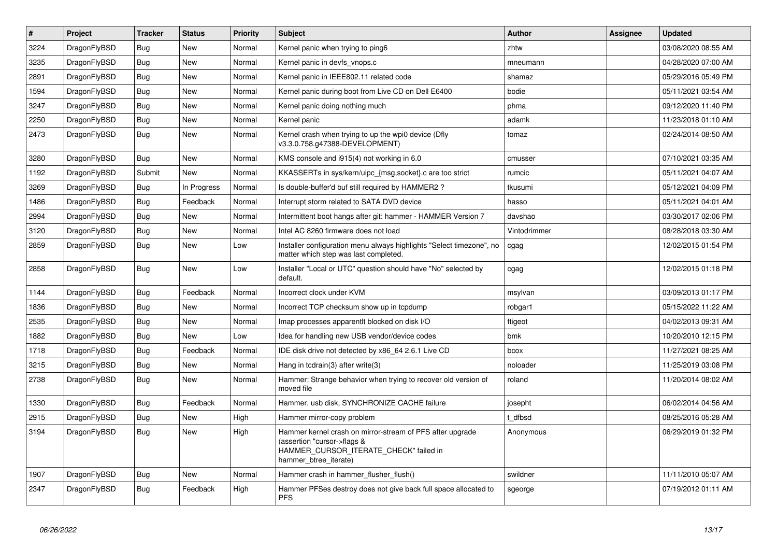| $\vert$ # | Project      | <b>Tracker</b> | <b>Status</b> | <b>Priority</b> | <b>Subject</b>                                                                                                                                              | <b>Author</b> | Assignee | <b>Updated</b>      |
|-----------|--------------|----------------|---------------|-----------------|-------------------------------------------------------------------------------------------------------------------------------------------------------------|---------------|----------|---------------------|
| 3224      | DragonFlyBSD | Bug            | <b>New</b>    | Normal          | Kernel panic when trying to ping6                                                                                                                           | zhtw          |          | 03/08/2020 08:55 AM |
| 3235      | DragonFlyBSD | <b>Bug</b>     | <b>New</b>    | Normal          | Kernel panic in devfs vnops.c                                                                                                                               | mneumann      |          | 04/28/2020 07:00 AM |
| 2891      | DragonFlyBSD | Bug            | <b>New</b>    | Normal          | Kernel panic in IEEE802.11 related code                                                                                                                     | shamaz        |          | 05/29/2016 05:49 PM |
| 1594      | DragonFlyBSD | Bug            | <b>New</b>    | Normal          | Kernel panic during boot from Live CD on Dell E6400                                                                                                         | bodie         |          | 05/11/2021 03:54 AM |
| 3247      | DragonFlyBSD | <b>Bug</b>     | <b>New</b>    | Normal          | Kernel panic doing nothing much                                                                                                                             | phma          |          | 09/12/2020 11:40 PM |
| 2250      | DragonFlyBSD | <b>Bug</b>     | New           | Normal          | Kernel panic                                                                                                                                                | adamk         |          | 11/23/2018 01:10 AM |
| 2473      | DragonFlyBSD | <b>Bug</b>     | <b>New</b>    | Normal          | Kernel crash when trying to up the wpi0 device (Dfly<br>v3.3.0.758.g47388-DEVELOPMENT)                                                                      | tomaz         |          | 02/24/2014 08:50 AM |
| 3280      | DragonFlyBSD | <b>Bug</b>     | <b>New</b>    | Normal          | KMS console and i915(4) not working in 6.0                                                                                                                  | cmusser       |          | 07/10/2021 03:35 AM |
| 1192      | DragonFlyBSD | Submit         | <b>New</b>    | Normal          | KKASSERTs in sys/kern/uipc {msg,socket}.c are too strict                                                                                                    | rumcic        |          | 05/11/2021 04:07 AM |
| 3269      | DragonFlyBSD | Bug            | In Progress   | Normal          | Is double-buffer'd buf still required by HAMMER2?                                                                                                           | tkusumi       |          | 05/12/2021 04:09 PM |
| 1486      | DragonFlyBSD | <b>Bug</b>     | Feedback      | Normal          | Interrupt storm related to SATA DVD device                                                                                                                  | hasso         |          | 05/11/2021 04:01 AM |
| 2994      | DragonFlyBSD | Bug            | <b>New</b>    | Normal          | Intermittent boot hangs after git: hammer - HAMMER Version 7                                                                                                | davshao       |          | 03/30/2017 02:06 PM |
| 3120      | DragonFlyBSD | Bug            | <b>New</b>    | Normal          | Intel AC 8260 firmware does not load                                                                                                                        | Vintodrimmer  |          | 08/28/2018 03:30 AM |
| 2859      | DragonFlyBSD | <b>Bug</b>     | New           | Low             | Installer configuration menu always highlights "Select timezone", no<br>matter which step was last completed.                                               | cgag          |          | 12/02/2015 01:54 PM |
| 2858      | DragonFlyBSD | <b>Bug</b>     | <b>New</b>    | Low             | Installer "Local or UTC" question should have "No" selected by<br>default.                                                                                  | cgag          |          | 12/02/2015 01:18 PM |
| 1144      | DragonFlyBSD | <b>Bug</b>     | Feedback      | Normal          | Incorrect clock under KVM                                                                                                                                   | msylvan       |          | 03/09/2013 01:17 PM |
| 1836      | DragonFlyBSD | Bug            | <b>New</b>    | Normal          | Incorrect TCP checksum show up in tcpdump                                                                                                                   | robgar1       |          | 05/15/2022 11:22 AM |
| 2535      | DragonFlyBSD | <b>Bug</b>     | <b>New</b>    | Normal          | Imap processes apparentlt blocked on disk I/O                                                                                                               | ftigeot       |          | 04/02/2013 09:31 AM |
| 1882      | DragonFlyBSD | <b>Bug</b>     | <b>New</b>    | Low             | Idea for handling new USB vendor/device codes                                                                                                               | bmk           |          | 10/20/2010 12:15 PM |
| 1718      | DragonFlyBSD | Bug            | Feedback      | Normal          | IDE disk drive not detected by x86 64 2.6.1 Live CD                                                                                                         | bcox          |          | 11/27/2021 08:25 AM |
| 3215      | DragonFlyBSD | Bug            | <b>New</b>    | Normal          | Hang in todrain(3) after write(3)                                                                                                                           | noloader      |          | 11/25/2019 03:08 PM |
| 2738      | DragonFlyBSD | <b>Bug</b>     | New           | Normal          | Hammer: Strange behavior when trying to recover old version of<br>moved file                                                                                | roland        |          | 11/20/2014 08:02 AM |
| 1330      | DragonFlyBSD | <b>Bug</b>     | Feedback      | Normal          | Hammer, usb disk, SYNCHRONIZE CACHE failure                                                                                                                 | josepht       |          | 06/02/2014 04:56 AM |
| 2915      | DragonFlyBSD | <b>Bug</b>     | <b>New</b>    | High            | Hammer mirror-copy problem                                                                                                                                  | dfbsd         |          | 08/25/2016 05:28 AM |
| 3194      | DragonFlyBSD | <b>Bug</b>     | <b>New</b>    | High            | Hammer kernel crash on mirror-stream of PFS after upgrade<br>(assertion "cursor->flags &<br>HAMMER_CURSOR_ITERATE_CHECK" failed in<br>hammer_btree_iterate) | Anonymous     |          | 06/29/2019 01:32 PM |
| 1907      | DragonFlyBSD | Bug            | <b>New</b>    | Normal          | Hammer crash in hammer flusher flush()                                                                                                                      | swildner      |          | 11/11/2010 05:07 AM |
| 2347      | DragonFlyBSD | Bug            | Feedback      | High            | Hammer PFSes destroy does not give back full space allocated to<br><b>PFS</b>                                                                               | sgeorge       |          | 07/19/2012 01:11 AM |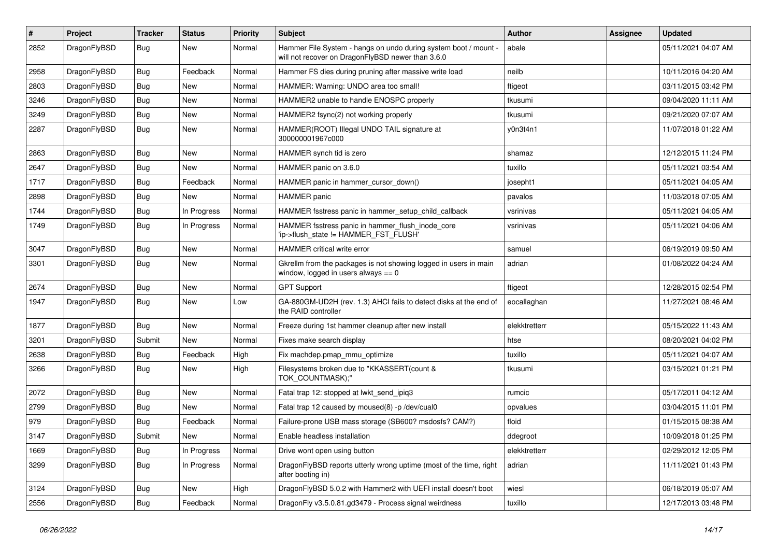| $\sharp$ | Project      | <b>Tracker</b> | <b>Status</b> | <b>Priority</b> | Subject                                                                                                              | <b>Author</b> | Assignee | <b>Updated</b>      |
|----------|--------------|----------------|---------------|-----------------|----------------------------------------------------------------------------------------------------------------------|---------------|----------|---------------------|
| 2852     | DragonFlyBSD | Bug            | <b>New</b>    | Normal          | Hammer File System - hangs on undo during system boot / mount -<br>will not recover on DragonFlyBSD newer than 3.6.0 | abale         |          | 05/11/2021 04:07 AM |
| 2958     | DragonFlyBSD | Bug            | Feedback      | Normal          | Hammer FS dies during pruning after massive write load                                                               | neilb         |          | 10/11/2016 04:20 AM |
| 2803     | DragonFlyBSD | <b>Bug</b>     | <b>New</b>    | Normal          | HAMMER: Warning: UNDO area too small!                                                                                | ftigeot       |          | 03/11/2015 03:42 PM |
| 3246     | DragonFlyBSD | Bug            | <b>New</b>    | Normal          | HAMMER2 unable to handle ENOSPC properly                                                                             | tkusumi       |          | 09/04/2020 11:11 AM |
| 3249     | DragonFlyBSD | <b>Bug</b>     | <b>New</b>    | Normal          | HAMMER2 fsync(2) not working properly                                                                                | tkusumi       |          | 09/21/2020 07:07 AM |
| 2287     | DragonFlyBSD | <b>Bug</b>     | <b>New</b>    | Normal          | HAMMER(ROOT) Illegal UNDO TAIL signature at<br>300000001967c000                                                      | y0n3t4n1      |          | 11/07/2018 01:22 AM |
| 2863     | DragonFlyBSD | <b>Bug</b>     | <b>New</b>    | Normal          | HAMMER synch tid is zero                                                                                             | shamaz        |          | 12/12/2015 11:24 PM |
| 2647     | DragonFlyBSD | <b>Bug</b>     | <b>New</b>    | Normal          | HAMMER panic on 3.6.0                                                                                                | tuxillo       |          | 05/11/2021 03:54 AM |
| 1717     | DragonFlyBSD | <b>Bug</b>     | Feedback      | Normal          | HAMMER panic in hammer cursor down()                                                                                 | josepht1      |          | 05/11/2021 04:05 AM |
| 2898     | DragonFlyBSD | <b>Bug</b>     | New           | Normal          | <b>HAMMER</b> panic                                                                                                  | pavalos       |          | 11/03/2018 07:05 AM |
| 1744     | DragonFlyBSD | <b>Bug</b>     | In Progress   | Normal          | HAMMER fsstress panic in hammer_setup_child_callback                                                                 | vsrinivas     |          | 05/11/2021 04:05 AM |
| 1749     | DragonFlyBSD | <b>Bug</b>     | In Progress   | Normal          | HAMMER fsstress panic in hammer flush inode core<br>'ip->flush_state != HAMMER_FST_FLUSH'                            | vsrinivas     |          | 05/11/2021 04:06 AM |
| 3047     | DragonFlyBSD | Bug            | <b>New</b>    | Normal          | HAMMER critical write error                                                                                          | samuel        |          | 06/19/2019 09:50 AM |
| 3301     | DragonFlyBSD | <b>Bug</b>     | New           | Normal          | Gkrellm from the packages is not showing logged in users in main<br>window, logged in users always $== 0$            | adrian        |          | 01/08/2022 04:24 AM |
| 2674     | DragonFlyBSD | <b>Bug</b>     | <b>New</b>    | Normal          | <b>GPT Support</b>                                                                                                   | ftigeot       |          | 12/28/2015 02:54 PM |
| 1947     | DragonFlyBSD | <b>Bug</b>     | New           | Low             | GA-880GM-UD2H (rev. 1.3) AHCI fails to detect disks at the end of<br>the RAID controller                             | eocallaghan   |          | 11/27/2021 08:46 AM |
| 1877     | DragonFlyBSD | Bug            | New           | Normal          | Freeze during 1st hammer cleanup after new install                                                                   | elekktretterr |          | 05/15/2022 11:43 AM |
| 3201     | DragonFlyBSD | Submit         | <b>New</b>    | Normal          | Fixes make search display                                                                                            | htse          |          | 08/20/2021 04:02 PM |
| 2638     | DragonFlyBSD | <b>Bug</b>     | Feedback      | High            | Fix machdep.pmap_mmu_optimize                                                                                        | tuxillo       |          | 05/11/2021 04:07 AM |
| 3266     | DragonFlyBSD | <b>Bug</b>     | New           | High            | Filesystems broken due to "KKASSERT(count &<br>TOK_COUNTMASK);"                                                      | tkusumi       |          | 03/15/2021 01:21 PM |
| 2072     | DragonFlyBSD | Bug            | <b>New</b>    | Normal          | Fatal trap 12: stopped at lwkt send ipig3                                                                            | rumcic        |          | 05/17/2011 04:12 AM |
| 2799     | DragonFlyBSD | <b>Bug</b>     | New           | Normal          | Fatal trap 12 caused by moused(8) -p /dev/cual0                                                                      | opvalues      |          | 03/04/2015 11:01 PM |
| 979      | DragonFlyBSD | Bug            | Feedback      | Normal          | Failure-prone USB mass storage (SB600? msdosfs? CAM?)                                                                | floid         |          | 01/15/2015 08:38 AM |
| 3147     | DragonFlvBSD | Submit         | New           | Normal          | Enable headless installation                                                                                         | ddegroot      |          | 10/09/2018 01:25 PM |
| 1669     | DragonFlyBSD | Bug            | In Progress   | Normal          | Drive wont open using button                                                                                         | elekktretterr |          | 02/29/2012 12:05 PM |
| 3299     | DragonFlyBSD | <b>Bug</b>     | In Progress   | Normal          | DragonFlyBSD reports utterly wrong uptime (most of the time, right<br>after booting in)                              | adrian        |          | 11/11/2021 01:43 PM |
| 3124     | DragonFlyBSD | <b>Bug</b>     | New           | High            | DragonFlyBSD 5.0.2 with Hammer2 with UEFI install doesn't boot                                                       | wiesl         |          | 06/18/2019 05:07 AM |
| 2556     | DragonFlyBSD | <b>Bug</b>     | Feedback      | Normal          | DragonFly v3.5.0.81.gd3479 - Process signal weirdness                                                                | tuxillo       |          | 12/17/2013 03:48 PM |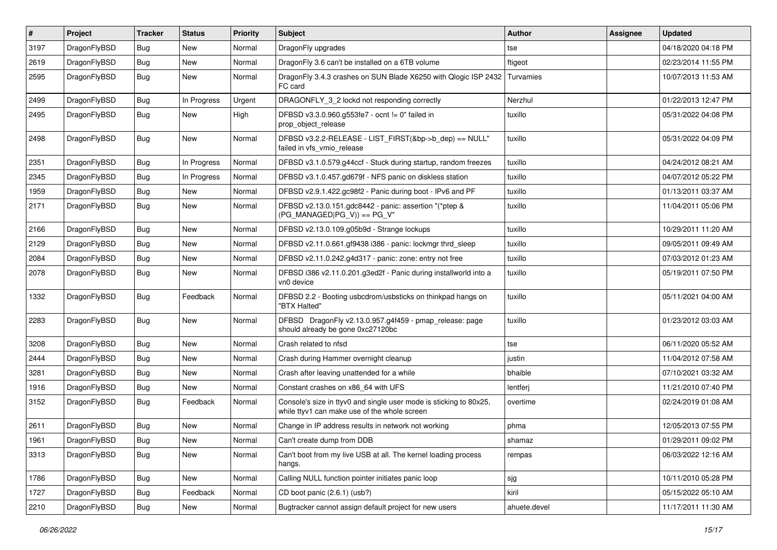| #    | Project      | <b>Tracker</b> | <b>Status</b> | <b>Priority</b> | <b>Subject</b>                                                                                                     | <b>Author</b> | Assignee | <b>Updated</b>      |
|------|--------------|----------------|---------------|-----------------|--------------------------------------------------------------------------------------------------------------------|---------------|----------|---------------------|
| 3197 | DragonFlyBSD | <b>Bug</b>     | <b>New</b>    | Normal          | DragonFly upgrades                                                                                                 | tse           |          | 04/18/2020 04:18 PM |
| 2619 | DragonFlyBSD | <b>Bug</b>     | <b>New</b>    | Normal          | DragonFly 3.6 can't be installed on a 6TB volume                                                                   | ftigeot       |          | 02/23/2014 11:55 PM |
| 2595 | DragonFlyBSD | <b>Bug</b>     | New           | Normal          | DragonFly 3.4.3 crashes on SUN Blade X6250 with Qlogic ISP 2432<br>FC card                                         | Turvamies     |          | 10/07/2013 11:53 AM |
| 2499 | DragonFlyBSD | <b>Bug</b>     | In Progress   | Urgent          | DRAGONFLY_3_2 lockd not responding correctly                                                                       | Nerzhul       |          | 01/22/2013 12:47 PM |
| 2495 | DragonFlyBSD | <b>Bug</b>     | New           | High            | DFBSD v3.3.0.960.g553fe7 - ocnt != 0" failed in<br>prop_object_release                                             | tuxillo       |          | 05/31/2022 04:08 PM |
| 2498 | DragonFlyBSD | Bug            | New           | Normal          | DFBSD v3.2.2-RELEASE - LIST_FIRST(&bp->b_dep) == NULL"<br>failed in vfs_vmio_release                               | tuxillo       |          | 05/31/2022 04:09 PM |
| 2351 | DragonFlyBSD | <b>Bug</b>     | In Progress   | Normal          | DFBSD v3.1.0.579.g44ccf - Stuck during startup, random freezes                                                     | tuxillo       |          | 04/24/2012 08:21 AM |
| 2345 | DragonFlyBSD | <b>Bug</b>     | In Progress   | Normal          | DFBSD v3.1.0.457.gd679f - NFS panic on diskless station                                                            | tuxillo       |          | 04/07/2012 05:22 PM |
| 1959 | DragonFlyBSD | <b>Bug</b>     | New           | Normal          | DFBSD v2.9.1.422.gc98f2 - Panic during boot - IPv6 and PF                                                          | tuxillo       |          | 01/13/2011 03:37 AM |
| 2171 | DragonFlyBSD | <b>Bug</b>     | <b>New</b>    | Normal          | DFBSD v2.13.0.151.gdc8442 - panic: assertion "(*ptep &<br>$(PG MANAGED PG V)) == PG V"$                            | tuxillo       |          | 11/04/2011 05:06 PM |
| 2166 | DragonFlyBSD | Bug            | <b>New</b>    | Normal          | DFBSD v2.13.0.109.g05b9d - Strange lockups                                                                         | tuxillo       |          | 10/29/2011 11:20 AM |
| 2129 | DragonFlyBSD | <b>Bug</b>     | New           | Normal          | DFBSD v2.11.0.661.gf9438 i386 - panic: lockmgr thrd_sleep                                                          | tuxillo       |          | 09/05/2011 09:49 AM |
| 2084 | DragonFlyBSD | <b>Bug</b>     | New           | Normal          | DFBSD v2.11.0.242.g4d317 - panic: zone: entry not free                                                             | tuxillo       |          | 07/03/2012 01:23 AM |
| 2078 | DragonFlyBSD | <b>Bug</b>     | New           | Normal          | DFBSD i386 v2.11.0.201.g3ed2f - Panic during installworld into a<br>vn0 device                                     | tuxillo       |          | 05/19/2011 07:50 PM |
| 1332 | DragonFlyBSD | Bug            | Feedback      | Normal          | DFBSD 2.2 - Booting usbcdrom/usbsticks on thinkpad hangs on<br>"BTX Halted"                                        | tuxillo       |          | 05/11/2021 04:00 AM |
| 2283 | DragonFlyBSD | Bug            | New           | Normal          | DFBSD DragonFly v2.13.0.957.g4f459 - pmap_release: page<br>should already be gone 0xc27120bc                       | tuxillo       |          | 01/23/2012 03:03 AM |
| 3208 | DragonFlyBSD | Bug            | <b>New</b>    | Normal          | Crash related to nfsd                                                                                              | tse           |          | 06/11/2020 05:52 AM |
| 2444 | DragonFlyBSD | Bug            | <b>New</b>    | Normal          | Crash during Hammer overnight cleanup                                                                              | justin        |          | 11/04/2012 07:58 AM |
| 3281 | DragonFlyBSD | <b>Bug</b>     | <b>New</b>    | Normal          | Crash after leaving unattended for a while                                                                         | bhaible       |          | 07/10/2021 03:32 AM |
| 1916 | DragonFlyBSD | <b>Bug</b>     | New           | Normal          | Constant crashes on x86_64 with UFS                                                                                | lentferj      |          | 11/21/2010 07:40 PM |
| 3152 | DragonFlyBSD | <b>Bug</b>     | Feedback      | Normal          | Console's size in ttyv0 and single user mode is sticking to 80x25,<br>while ttyv1 can make use of the whole screen | overtime      |          | 02/24/2019 01:08 AM |
| 2611 | DragonFlyBSD | <b>Bug</b>     | New           | Normal          | Change in IP address results in network not working                                                                | phma          |          | 12/05/2013 07:55 PM |
| 1961 | DragonFlyBSD | <b>Bug</b>     | New           | Normal          | Can't create dump from DDB                                                                                         | shamaz        |          | 01/29/2011 09:02 PM |
| 3313 | DragonFlyBSD | Bug            | New           | Normal          | Can't boot from my live USB at all. The kernel loading process<br>hangs.                                           | rempas        |          | 06/03/2022 12:16 AM |
| 1786 | DragonFlyBSD | Bug            | New           | Normal          | Calling NULL function pointer initiates panic loop                                                                 | sjg           |          | 10/11/2010 05:28 PM |
| 1727 | DragonFlyBSD | <b>Bug</b>     | Feedback      | Normal          | CD boot panic (2.6.1) (usb?)                                                                                       | kiril         |          | 05/15/2022 05:10 AM |
| 2210 | DragonFlyBSD | <b>Bug</b>     | New           | Normal          | Bugtracker cannot assign default project for new users                                                             | ahuete.devel  |          | 11/17/2011 11:30 AM |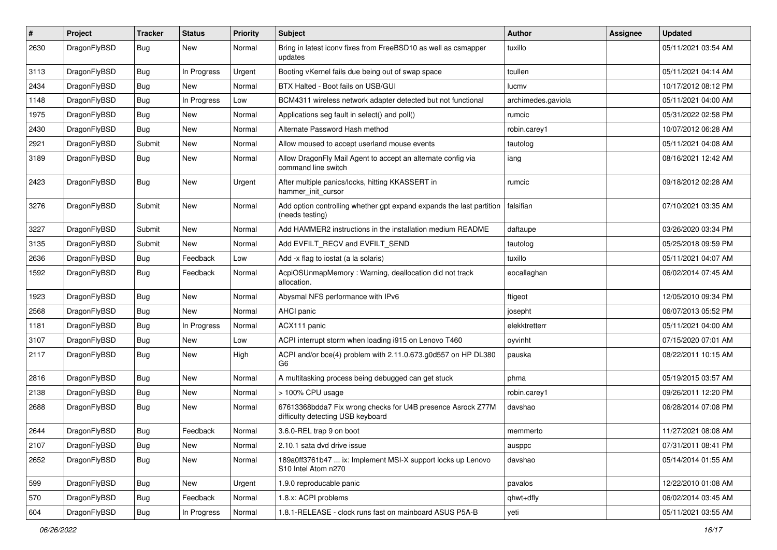| $\vert$ # | Project      | <b>Tracker</b> | <b>Status</b> | <b>Priority</b> | Subject                                                                                          | Author             | <b>Assignee</b> | <b>Updated</b>      |
|-----------|--------------|----------------|---------------|-----------------|--------------------------------------------------------------------------------------------------|--------------------|-----------------|---------------------|
| 2630      | DragonFlyBSD | Bug            | New           | Normal          | Bring in latest iconv fixes from FreeBSD10 as well as csmapper<br>updates                        | tuxillo            |                 | 05/11/2021 03:54 AM |
| 3113      | DragonFlyBSD | <b>Bug</b>     | In Progress   | Urgent          | Booting vKernel fails due being out of swap space                                                | tcullen            |                 | 05/11/2021 04:14 AM |
| 2434      | DragonFlyBSD | Bug            | New           | Normal          | BTX Halted - Boot fails on USB/GUI                                                               | lucmv              |                 | 10/17/2012 08:12 PM |
| 1148      | DragonFlyBSD | Bug            | In Progress   | Low             | BCM4311 wireless network adapter detected but not functional                                     | archimedes.gaviola |                 | 05/11/2021 04:00 AM |
| 1975      | DragonFlyBSD | <b>Bug</b>     | New           | Normal          | Applications seg fault in select() and poll()                                                    | rumcic             |                 | 05/31/2022 02:58 PM |
| 2430      | DragonFlyBSD | Bug            | <b>New</b>    | Normal          | Alternate Password Hash method                                                                   | robin.carey1       |                 | 10/07/2012 06:28 AM |
| 2921      | DragonFlyBSD | Submit         | New           | Normal          | Allow moused to accept userland mouse events                                                     | tautolog           |                 | 05/11/2021 04:08 AM |
| 3189      | DragonFlyBSD | Bug            | New           | Normal          | Allow DragonFly Mail Agent to accept an alternate config via<br>command line switch              | iang               |                 | 08/16/2021 12:42 AM |
| 2423      | DragonFlyBSD | Bug            | <b>New</b>    | Urgent          | After multiple panics/locks, hitting KKASSERT in<br>hammer_init_cursor                           | rumcic             |                 | 09/18/2012 02:28 AM |
| 3276      | DragonFlyBSD | Submit         | New           | Normal          | Add option controlling whether gpt expand expands the last partition<br>(needs testing)          | falsifian          |                 | 07/10/2021 03:35 AM |
| 3227      | DragonFlyBSD | Submit         | <b>New</b>    | Normal          | Add HAMMER2 instructions in the installation medium README                                       | daftaupe           |                 | 03/26/2020 03:34 PM |
| 3135      | DragonFlyBSD | Submit         | New           | Normal          | Add EVFILT_RECV and EVFILT_SEND                                                                  | tautolog           |                 | 05/25/2018 09:59 PM |
| 2636      | DragonFlyBSD | Bug            | Feedback      | Low             | Add -x flag to iostat (a la solaris)                                                             | tuxillo            |                 | 05/11/2021 04:07 AM |
| 1592      | DragonFlyBSD | Bug            | Feedback      | Normal          | AcpiOSUnmapMemory: Warning, deallocation did not track<br>allocation.                            | eocallaghan        |                 | 06/02/2014 07:45 AM |
| 1923      | DragonFlyBSD | Bug            | New           | Normal          | Abysmal NFS performance with IPv6                                                                | ftigeot            |                 | 12/05/2010 09:34 PM |
| 2568      | DragonFlyBSD | Bug            | New           | Normal          | <b>AHCI</b> panic                                                                                | josepht            |                 | 06/07/2013 05:52 PM |
| 1181      | DragonFlyBSD | <b>Bug</b>     | In Progress   | Normal          | ACX111 panic                                                                                     | elekktretterr      |                 | 05/11/2021 04:00 AM |
| 3107      | DragonFlyBSD | Bug            | New           | Low             | ACPI interrupt storm when loading i915 on Lenovo T460                                            | oyvinht            |                 | 07/15/2020 07:01 AM |
| 2117      | DragonFlyBSD | Bug            | New           | High            | ACPI and/or bce(4) problem with 2.11.0.673.g0d557 on HP DL380<br>G6                              | pauska             |                 | 08/22/2011 10:15 AM |
| 2816      | DragonFlyBSD | Bug            | <b>New</b>    | Normal          | A multitasking process being debugged can get stuck                                              | phma               |                 | 05/19/2015 03:57 AM |
| 2138      | DragonFlyBSD | <b>Bug</b>     | New           | Normal          | > 100% CPU usage                                                                                 | robin.carey1       |                 | 09/26/2011 12:20 PM |
| 2688      | DragonFlyBSD | <b>Bug</b>     | New           | Normal          | 67613368bdda7 Fix wrong checks for U4B presence Asrock Z77M<br>difficulty detecting USB keyboard | davshao            |                 | 06/28/2014 07:08 PM |
| 2644      | DragonFlyBSD | Bug            | Feedback      | Normal          | 3.6.0-REL trap 9 on boot                                                                         | memmerto           |                 | 11/27/2021 08:08 AM |
| 2107      | DragonFlyBSD | Bug            | New           | Normal          | 2.10.1 sata dvd drive issue                                                                      | ausppc             |                 | 07/31/2011 08:41 PM |
| 2652      | DragonFlyBSD | <b>Bug</b>     | New           | Normal          | 189a0ff3761b47  ix: Implement MSI-X support locks up Lenovo<br>S10 Intel Atom n270               | davshao            |                 | 05/14/2014 01:55 AM |
| 599       | DragonFlyBSD | <b>Bug</b>     | New           | Urgent          | 1.9.0 reproducable panic                                                                         | pavalos            |                 | 12/22/2010 01:08 AM |
| 570       | DragonFlyBSD | <b>Bug</b>     | Feedback      | Normal          | 1.8.x: ACPI problems                                                                             | qhwt+dfly          |                 | 06/02/2014 03:45 AM |
| 604       | DragonFlyBSD | <b>Bug</b>     | In Progress   | Normal          | 1.8.1-RELEASE - clock runs fast on mainboard ASUS P5A-B                                          | yeti               |                 | 05/11/2021 03:55 AM |